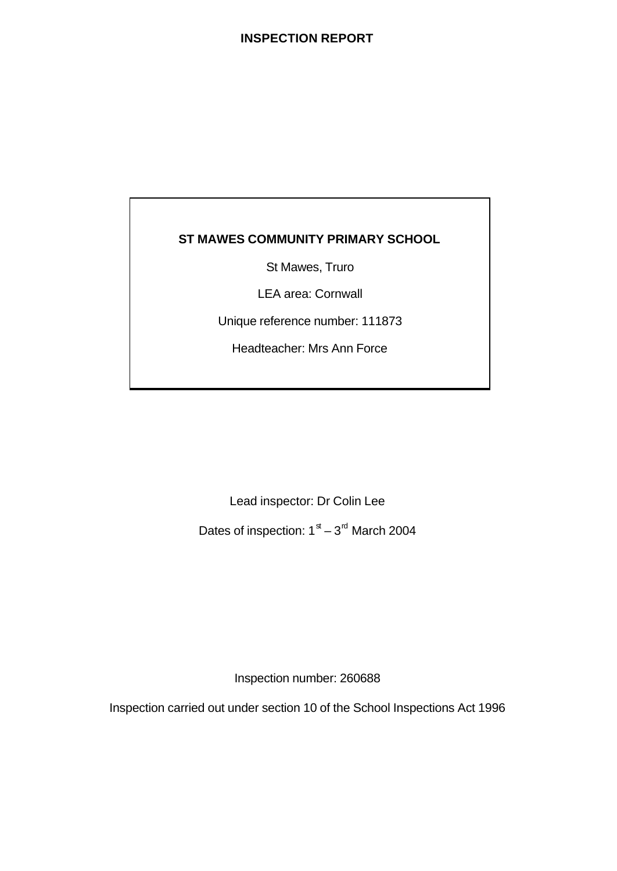# **INSPECTION REPORT**

# **ST MAWES COMMUNITY PRIMARY SCHOOL**

St Mawes, Truro

LEA area: Cornwall

Unique reference number: 111873

Headteacher: Mrs Ann Force

Lead inspector: Dr Colin Lee

Dates of inspection:  $1<sup>st</sup> - 3<sup>rd</sup>$  March 2004

Inspection number: 260688

Inspection carried out under section 10 of the School Inspections Act 1996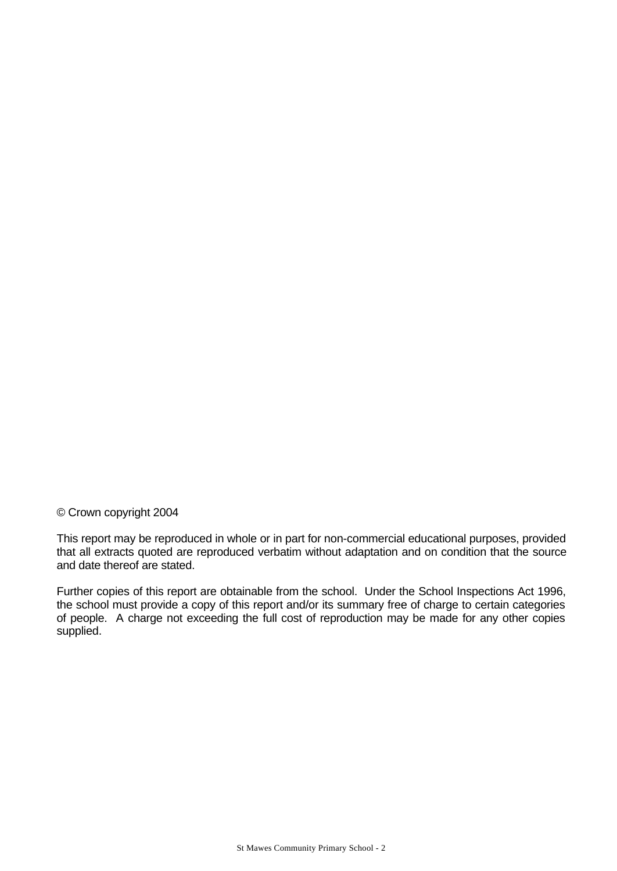#### © Crown copyright 2004

This report may be reproduced in whole or in part for non-commercial educational purposes, provided that all extracts quoted are reproduced verbatim without adaptation and on condition that the source and date thereof are stated.

Further copies of this report are obtainable from the school. Under the School Inspections Act 1996, the school must provide a copy of this report and/or its summary free of charge to certain categories of people. A charge not exceeding the full cost of reproduction may be made for any other copies supplied.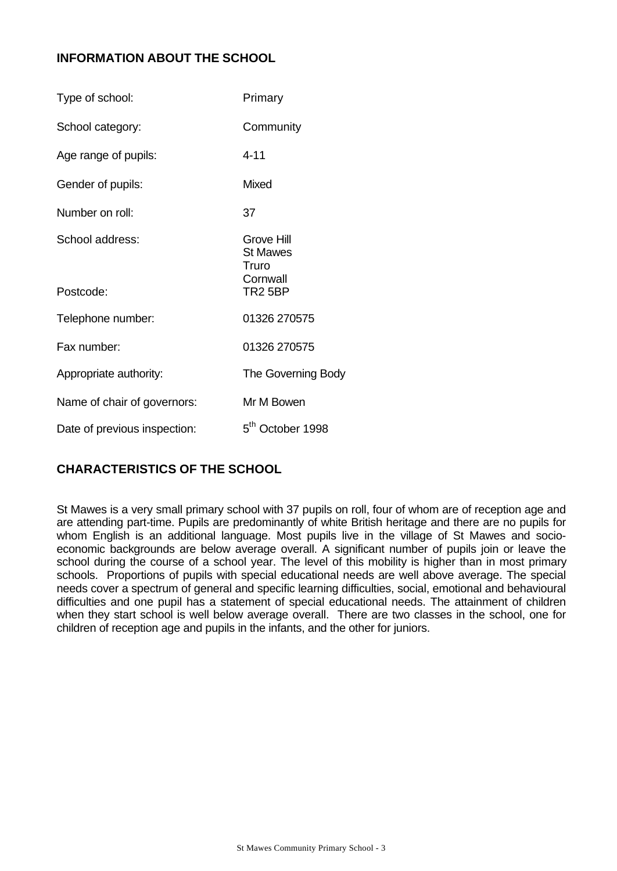# **INFORMATION ABOUT THE SCHOOL**

| Type of school:              | Primary                                                              |
|------------------------------|----------------------------------------------------------------------|
| School category:             | Community                                                            |
| Age range of pupils:         | $4 - 11$                                                             |
| Gender of pupils:            | Mixed                                                                |
| Number on roll:              | 37                                                                   |
| School address:<br>Postcode: | Grove Hill<br><b>St Mawes</b><br>Truro<br>Cornwall<br><b>TR2 5BP</b> |
| Telephone number:            | 01326 270575                                                         |
| Fax number:                  | 01326 270575                                                         |
| Appropriate authority:       | The Governing Body                                                   |
| Name of chair of governors:  | Mr M Bowen                                                           |
| Date of previous inspection: | 5 <sup>th</sup> October 1998                                         |

# **CHARACTERISTICS OF THE SCHOOL**

St Mawes is a very small primary school with 37 pupils on roll, four of whom are of reception age and are attending part-time. Pupils are predominantly of white British heritage and there are no pupils for whom English is an additional language. Most pupils live in the village of St Mawes and socioeconomic backgrounds are below average overall. A significant number of pupils join or leave the school during the course of a school year. The level of this mobility is higher than in most primary schools. Proportions of pupils with special educational needs are well above average. The special needs cover a spectrum of general and specific learning difficulties, social, emotional and behavioural difficulties and one pupil has a statement of special educational needs. The attainment of children when they start school is well below average overall. There are two classes in the school, one for children of reception age and pupils in the infants, and the other for juniors.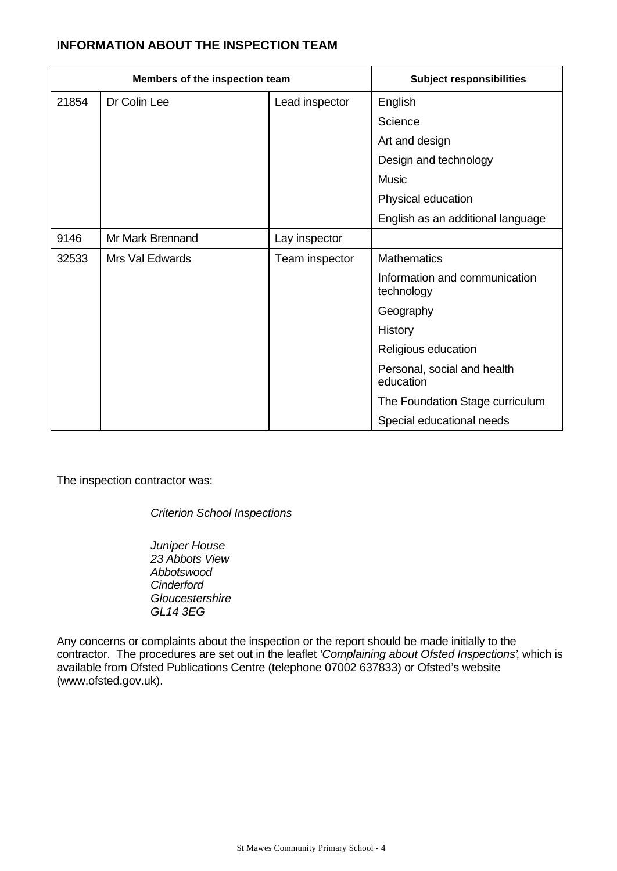# **INFORMATION ABOUT THE INSPECTION TEAM**

| Members of the inspection team |                  | <b>Subject responsibilities</b> |                                             |
|--------------------------------|------------------|---------------------------------|---------------------------------------------|
| 21854                          | Dr Colin Lee     | Lead inspector                  | English                                     |
|                                |                  |                                 | Science                                     |
|                                |                  |                                 | Art and design                              |
|                                |                  |                                 | Design and technology                       |
|                                |                  |                                 | <b>Music</b>                                |
|                                |                  |                                 | Physical education                          |
|                                |                  |                                 | English as an additional language           |
| 9146                           | Mr Mark Brennand | Lay inspector                   |                                             |
| 32533                          | Mrs Val Edwards  | Team inspector                  | <b>Mathematics</b>                          |
|                                |                  |                                 | Information and communication<br>technology |
|                                |                  |                                 | Geography                                   |
|                                |                  |                                 | History                                     |
|                                |                  |                                 | Religious education                         |
|                                |                  |                                 | Personal, social and health<br>education    |
|                                |                  |                                 | The Foundation Stage curriculum             |
|                                |                  |                                 | Special educational needs                   |

The inspection contractor was:

*Criterion School Inspections*

*Juniper House 23 Abbots View Abbotswood Cinderford Gloucestershire GL14 3EG*

Any concerns or complaints about the inspection or the report should be made initially to the contractor. The procedures are set out in the leaflet *'Complaining about Ofsted Inspections'*, which is available from Ofsted Publications Centre (telephone 07002 637833) or Ofsted's website (www.ofsted.gov.uk).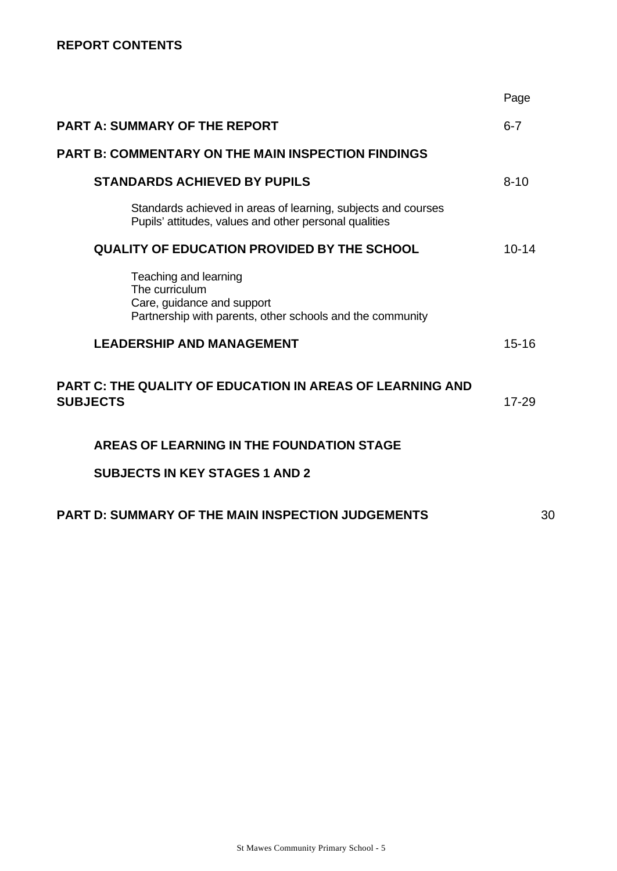|                                                                                                                                    | Page      |
|------------------------------------------------------------------------------------------------------------------------------------|-----------|
| <b>PART A: SUMMARY OF THE REPORT</b>                                                                                               | $6 - 7$   |
| <b>PART B: COMMENTARY ON THE MAIN INSPECTION FINDINGS</b>                                                                          |           |
| <b>STANDARDS ACHIEVED BY PUPILS</b>                                                                                                | $8 - 10$  |
| Standards achieved in areas of learning, subjects and courses<br>Pupils' attitudes, values and other personal qualities            |           |
| <b>QUALITY OF EDUCATION PROVIDED BY THE SCHOOL</b>                                                                                 | $10 - 14$ |
| Teaching and learning<br>The curriculum<br>Care, guidance and support<br>Partnership with parents, other schools and the community |           |
| <b>LEADERSHIP AND MANAGEMENT</b>                                                                                                   | $15 - 16$ |
| <b>PART C: THE QUALITY OF EDUCATION IN AREAS OF LEARNING AND</b><br><b>SUBJECTS</b>                                                | 17-29     |
| AREAS OF LEARNING IN THE FOUNDATION STAGE                                                                                          |           |
| <b>SUBJECTS IN KEY STAGES 1 AND 2</b>                                                                                              |           |
| <b>PART D: SUMMARY OF THE MAIN INSPECTION JUDGEMENTS</b>                                                                           | 30        |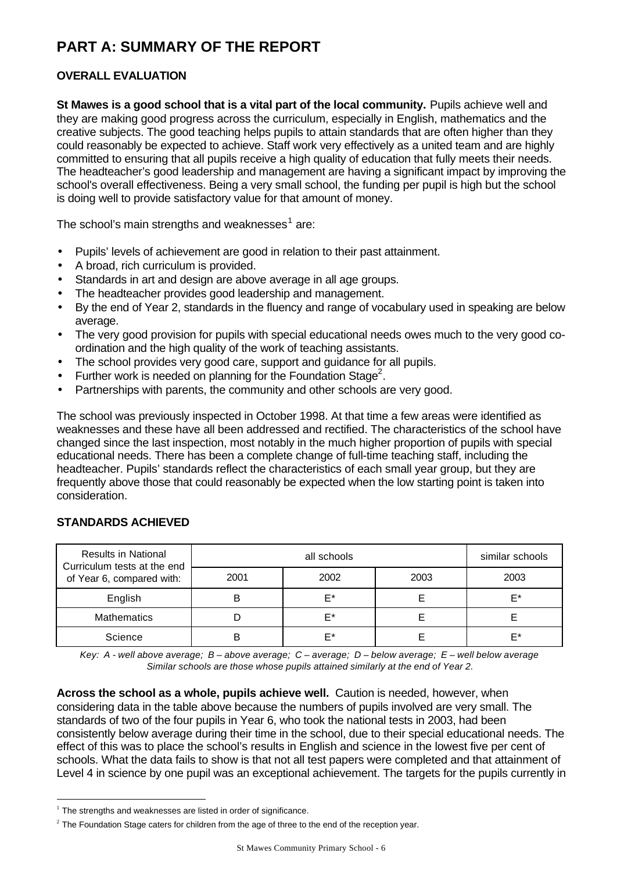# **PART A: SUMMARY OF THE REPORT**

# **OVERALL EVALUATION**

**St Mawes is a good school that is a vital part of the local community.** Pupils achieve well and they are making good progress across the curriculum, especially in English, mathematics and the creative subjects. The good teaching helps pupils to attain standards that are often higher than they could reasonably be expected to achieve. Staff work very effectively as a united team and are highly committed to ensuring that all pupils receive a high quality of education that fully meets their needs. The headteacher's good leadership and management are having a significant impact by improving the school's overall effectiveness. Being a very small school, the funding per pupil is high but the school is doing well to provide satisfactory value for that amount of money.

The school's main strengths and weaknesses $^{\rm 1}$  are:

- Pupils' levels of achievement are good in relation to their past attainment.
- A broad, rich curriculum is provided.
- Standards in art and design are above average in all age groups.
- The headteacher provides good leadership and management.
- By the end of Year 2, standards in the fluency and range of vocabulary used in speaking are below average.
- The very good provision for pupils with special educational needs owes much to the very good coordination and the high quality of the work of teaching assistants.
- The school provides very good care, support and guidance for all pupils.
- $\bullet$  Further work is needed on planning for the Foundation Stage<sup>2</sup>.
- Partnerships with parents, the community and other schools are very good.

The school was previously inspected in October 1998. At that time a few areas were identified as weaknesses and these have all been addressed and rectified. The characteristics of the school have changed since the last inspection, most notably in the much higher proportion of pupils with special educational needs. There has been a complete change of full-time teaching staff, including the headteacher. Pupils' standards reflect the characteristics of each small year group, but they are frequently above those that could reasonably be expected when the low starting point is taken into consideration.

| <b>Results in National</b><br>Curriculum tests at the end |      | similar schools |      |      |
|-----------------------------------------------------------|------|-----------------|------|------|
| of Year 6, compared with:                                 | 2001 | 2002            | 2003 | 2003 |
| English                                                   |      | F*              |      | F*   |
| <b>Mathematics</b>                                        |      | F*              |      |      |
| Science                                                   |      | ⊏∗              |      | ⊏∗   |

# **STANDARDS ACHIEVED**

l

*Key: A - well above average; B – above average; C – average; D – below average; E – well below average Similar schools are those whose pupils attained similarly at the end of Year 2.*

**Across the school as a whole, pupils achieve well.** Caution is needed, however, when considering data in the table above because the numbers of pupils involved are very small. The standards of two of the four pupils in Year 6, who took the national tests in 2003, had been consistently below average during their time in the school, due to their special educational needs. The effect of this was to place the school's results in English and science in the lowest five per cent of schools. What the data fails to show is that not all test papers were completed and that attainment of Level 4 in science by one pupil was an exceptional achievement. The targets for the pupils currently in

 $1$  The strengths and weaknesses are listed in order of significance.

 $2$  The Foundation Stage caters for children from the age of three to the end of the reception year.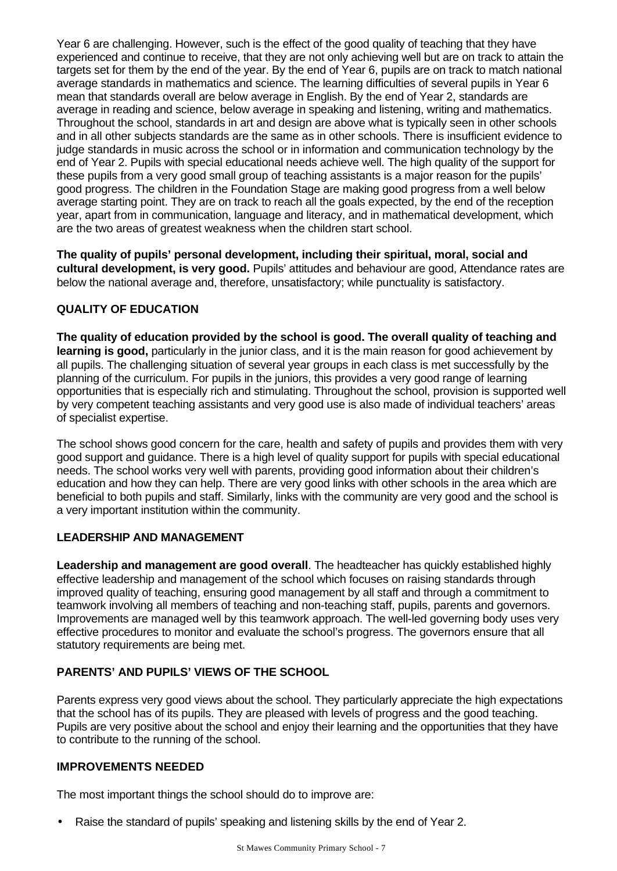Year 6 are challenging. However, such is the effect of the good quality of teaching that they have experienced and continue to receive, that they are not only achieving well but are on track to attain the targets set for them by the end of the year. By the end of Year 6, pupils are on track to match national average standards in mathematics and science. The learning difficulties of several pupils in Year 6 mean that standards overall are below average in English. By the end of Year 2, standards are average in reading and science, below average in speaking and listening, writing and mathematics. Throughout the school, standards in art and design are above what is typically seen in other schools and in all other subjects standards are the same as in other schools. There is insufficient evidence to judge standards in music across the school or in information and communication technology by the end of Year 2. Pupils with special educational needs achieve well. The high quality of the support for these pupils from a very good small group of teaching assistants is a major reason for the pupils' good progress. The children in the Foundation Stage are making good progress from a well below average starting point. They are on track to reach all the goals expected, by the end of the reception year, apart from in communication, language and literacy, and in mathematical development, which are the two areas of greatest weakness when the children start school.

**The quality of pupils' personal development, including their spiritual, moral, social and cultural development, is very good.** Pupils' attitudes and behaviour are good, Attendance rates are below the national average and, therefore, unsatisfactory; while punctuality is satisfactory.

### **QUALITY OF EDUCATION**

**The quality of education provided by the school is good. The overall quality of teaching and learning is good,** particularly in the junior class, and it is the main reason for good achievement by all pupils. The challenging situation of several year groups in each class is met successfully by the planning of the curriculum. For pupils in the juniors, this provides a very good range of learning opportunities that is especially rich and stimulating. Throughout the school, provision is supported well by very competent teaching assistants and very good use is also made of individual teachers' areas of specialist expertise.

The school shows good concern for the care, health and safety of pupils and provides them with very good support and guidance. There is a high level of quality support for pupils with special educational needs. The school works very well with parents, providing good information about their children's education and how they can help. There are very good links with other schools in the area which are beneficial to both pupils and staff. Similarly, links with the community are very good and the school is a very important institution within the community.

#### **LEADERSHIP AND MANAGEMENT**

**Leadership and management are good overall**. The headteacher has quickly established highly effective leadership and management of the school which focuses on raising standards through improved quality of teaching, ensuring good management by all staff and through a commitment to teamwork involving all members of teaching and non-teaching staff, pupils, parents and governors. Improvements are managed well by this teamwork approach. The well-led governing body uses very effective procedures to monitor and evaluate the school's progress. The governors ensure that all statutory requirements are being met.

# **PARENTS' AND PUPILS' VIEWS OF THE SCHOOL**

Parents express very good views about the school. They particularly appreciate the high expectations that the school has of its pupils. They are pleased with levels of progress and the good teaching. Pupils are very positive about the school and enjoy their learning and the opportunities that they have to contribute to the running of the school.

# **IMPROVEMENTS NEEDED**

The most important things the school should do to improve are:

• Raise the standard of pupils' speaking and listening skills by the end of Year 2.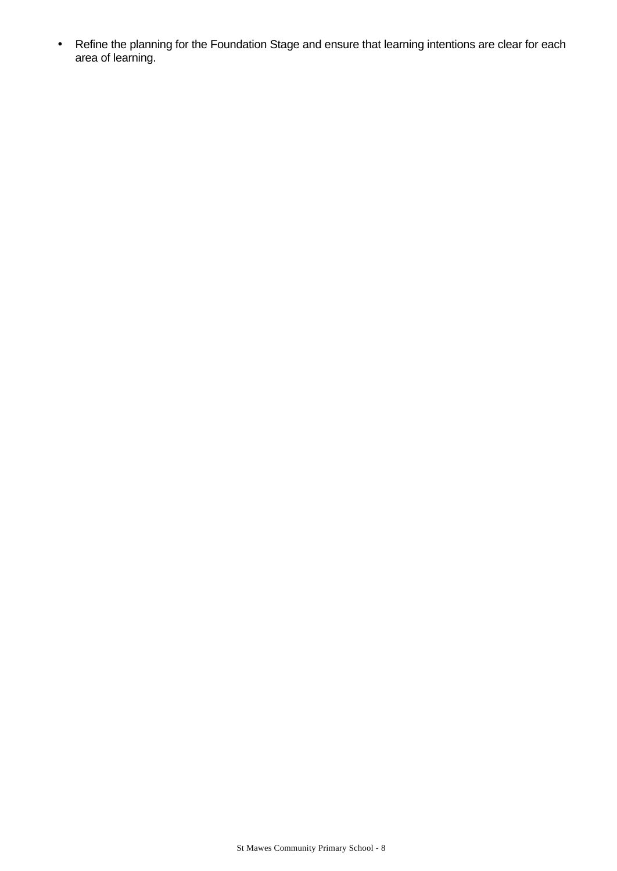• Refine the planning for the Foundation Stage and ensure that learning intentions are clear for each area of learning.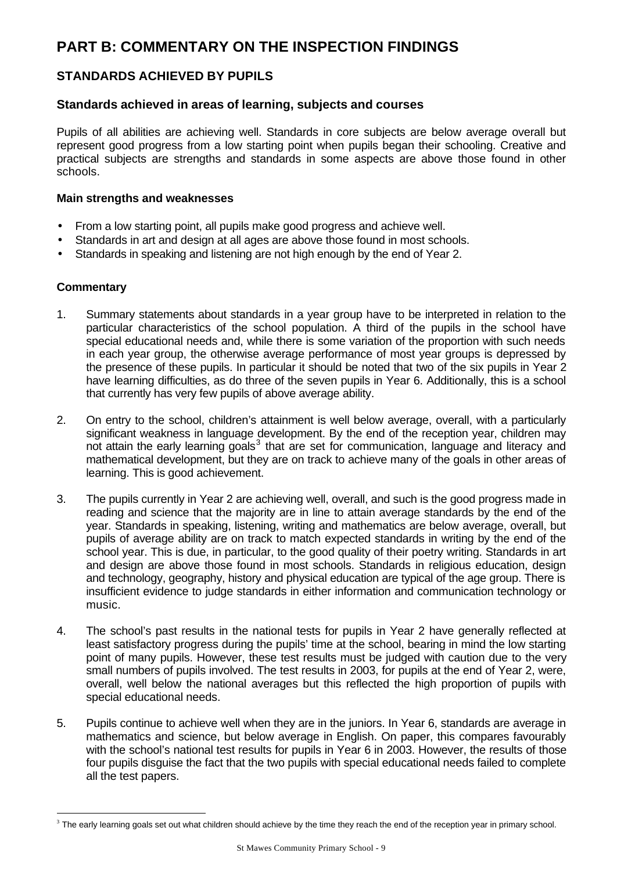# **PART B: COMMENTARY ON THE INSPECTION FINDINGS**

# **STANDARDS ACHIEVED BY PUPILS**

#### **Standards achieved in areas of learning, subjects and courses**

Pupils of all abilities are achieving well. Standards in core subjects are below average overall but represent good progress from a low starting point when pupils began their schooling. Creative and practical subjects are strengths and standards in some aspects are above those found in other schools.

#### **Main strengths and weaknesses**

- From a low starting point, all pupils make good progress and achieve well.
- Standards in art and design at all ages are above those found in most schools.
- Standards in speaking and listening are not high enough by the end of Year 2.

#### **Commentary**

l

- 1. Summary statements about standards in a year group have to be interpreted in relation to the particular characteristics of the school population. A third of the pupils in the school have special educational needs and, while there is some variation of the proportion with such needs in each year group, the otherwise average performance of most year groups is depressed by the presence of these pupils. In particular it should be noted that two of the six pupils in Year 2 have learning difficulties, as do three of the seven pupils in Year 6. Additionally, this is a school that currently has very few pupils of above average ability.
- 2. On entry to the school, children's attainment is well below average, overall, with a particularly significant weakness in language development. By the end of the reception year, children may not attain the early learning goals<sup>3</sup> that are set for communication, language and literacy and mathematical development, but they are on track to achieve many of the goals in other areas of learning. This is good achievement.
- 3. The pupils currently in Year 2 are achieving well, overall, and such is the good progress made in reading and science that the majority are in line to attain average standards by the end of the year. Standards in speaking, listening, writing and mathematics are below average, overall, but pupils of average ability are on track to match expected standards in writing by the end of the school year. This is due, in particular, to the good quality of their poetry writing. Standards in art and design are above those found in most schools. Standards in religious education, design and technology, geography, history and physical education are typical of the age group. There is insufficient evidence to judge standards in either information and communication technology or music.
- 4. The school's past results in the national tests for pupils in Year 2 have generally reflected at least satisfactory progress during the pupils' time at the school, bearing in mind the low starting point of many pupils. However, these test results must be judged with caution due to the very small numbers of pupils involved. The test results in 2003, for pupils at the end of Year 2, were, overall, well below the national averages but this reflected the high proportion of pupils with special educational needs.
- 5. Pupils continue to achieve well when they are in the juniors. In Year 6, standards are average in mathematics and science, but below average in English. On paper, this compares favourably with the school's national test results for pupils in Year 6 in 2003. However, the results of those four pupils disguise the fact that the two pupils with special educational needs failed to complete all the test papers.

 $3$  The early learning goals set out what children should achieve by the time they reach the end of the reception year in primary school.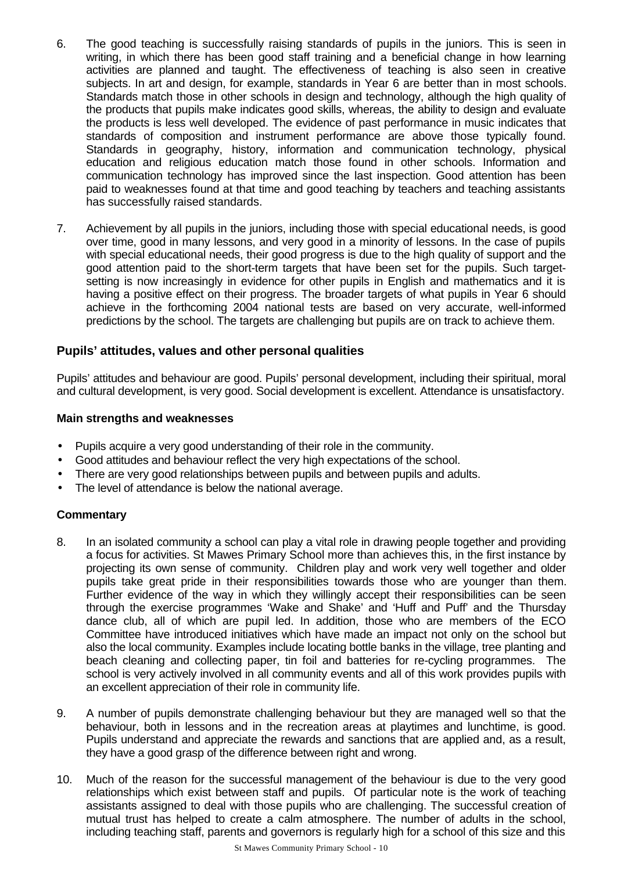- 6. The good teaching is successfully raising standards of pupils in the juniors. This is seen in writing, in which there has been good staff training and a beneficial change in how learning activities are planned and taught. The effectiveness of teaching is also seen in creative subjects. In art and design, for example, standards in Year 6 are better than in most schools. Standards match those in other schools in design and technology, although the high quality of the products that pupils make indicates good skills, whereas, the ability to design and evaluate the products is less well developed. The evidence of past performance in music indicates that standards of composition and instrument performance are above those typically found. Standards in geography, history, information and communication technology, physical education and religious education match those found in other schools. Information and communication technology has improved since the last inspection. Good attention has been paid to weaknesses found at that time and good teaching by teachers and teaching assistants has successfully raised standards.
- 7. Achievement by all pupils in the juniors, including those with special educational needs, is good over time, good in many lessons, and very good in a minority of lessons. In the case of pupils with special educational needs, their good progress is due to the high quality of support and the good attention paid to the short-term targets that have been set for the pupils. Such targetsetting is now increasingly in evidence for other pupils in English and mathematics and it is having a positive effect on their progress. The broader targets of what pupils in Year 6 should achieve in the forthcoming 2004 national tests are based on very accurate, well-informed predictions by the school. The targets are challenging but pupils are on track to achieve them.

### **Pupils' attitudes, values and other personal qualities**

Pupils' attitudes and behaviour are good. Pupils' personal development, including their spiritual, moral and cultural development, is very good. Social development is excellent. Attendance is unsatisfactory.

#### **Main strengths and weaknesses**

- Pupils acquire a very good understanding of their role in the community.
- Good attitudes and behaviour reflect the very high expectations of the school.
- There are very good relationships between pupils and between pupils and adults.
- The level of attendance is below the national average.

- 8. In an isolated community a school can play a vital role in drawing people together and providing a focus for activities. St Mawes Primary School more than achieves this, in the first instance by projecting its own sense of community. Children play and work very well together and older pupils take great pride in their responsibilities towards those who are younger than them. Further evidence of the way in which they willingly accept their responsibilities can be seen through the exercise programmes 'Wake and Shake' and 'Huff and Puff' and the Thursday dance club, all of which are pupil led. In addition, those who are members of the ECO Committee have introduced initiatives which have made an impact not only on the school but also the local community. Examples include locating bottle banks in the village, tree planting and beach cleaning and collecting paper, tin foil and batteries for re-cycling programmes. The school is very actively involved in all community events and all of this work provides pupils with an excellent appreciation of their role in community life.
- 9. A number of pupils demonstrate challenging behaviour but they are managed well so that the behaviour, both in lessons and in the recreation areas at playtimes and lunchtime, is good. Pupils understand and appreciate the rewards and sanctions that are applied and, as a result, they have a good grasp of the difference between right and wrong.
- 10. Much of the reason for the successful management of the behaviour is due to the very good relationships which exist between staff and pupils. Of particular note is the work of teaching assistants assigned to deal with those pupils who are challenging. The successful creation of mutual trust has helped to create a calm atmosphere. The number of adults in the school, including teaching staff, parents and governors is regularly high for a school of this size and this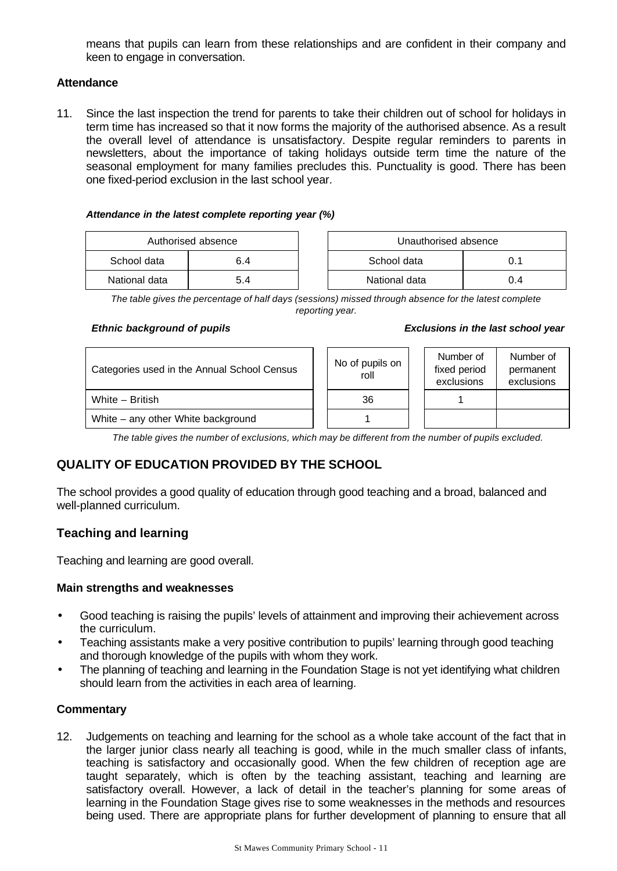means that pupils can learn from these relationships and are confident in their company and keen to engage in conversation.

#### **Attendance**

11. Since the last inspection the trend for parents to take their children out of school for holidays in term time has increased so that it now forms the majority of the authorised absence. As a result the overall level of attendance is unsatisfactory. Despite regular reminders to parents in newsletters, about the importance of taking holidays outside term time the nature of the seasonal employment for many families precludes this. Punctuality is good. There has been one fixed-period exclusion in the last school year.

#### *Attendance in the latest complete reporting year (%)*

| Authorised absence |     | Unauthorised absence |     |  |  |
|--------------------|-----|----------------------|-----|--|--|
| School data        | 6.4 | School data<br>0.1   |     |  |  |
| National data      | 5.4 | National data        | 0.4 |  |  |

*The table gives the percentage of half days (sessions) missed through absence for the latest complete reporting year.*

#### *Ethnic background of pupils Exclusions in the last school year*

| Categories used in the Annual School Census |  | No of pupils on<br>roll |  | Number of<br>fixed period<br>exclusions | Number of<br>permanent<br>exclusions |
|---------------------------------------------|--|-------------------------|--|-----------------------------------------|--------------------------------------|
| White - British                             |  | 36                      |  |                                         |                                      |
| White – any other White background          |  |                         |  |                                         |                                      |

*The table gives the number of exclusions, which may be different from the number of pupils excluded.*

# **QUALITY OF EDUCATION PROVIDED BY THE SCHOOL**

The school provides a good quality of education through good teaching and a broad, balanced and well-planned curriculum.

# **Teaching and learning**

Teaching and learning are good overall.

#### **Main strengths and weaknesses**

- Good teaching is raising the pupils' levels of attainment and improving their achievement across the curriculum.
- Teaching assistants make a very positive contribution to pupils' learning through good teaching and thorough knowledge of the pupils with whom they work.
- The planning of teaching and learning in the Foundation Stage is not yet identifying what children should learn from the activities in each area of learning.

#### **Commentary**

12. Judgements on teaching and learning for the school as a whole take account of the fact that in the larger junior class nearly all teaching is good, while in the much smaller class of infants, teaching is satisfactory and occasionally good. When the few children of reception age are taught separately, which is often by the teaching assistant, teaching and learning are satisfactory overall. However, a lack of detail in the teacher's planning for some areas of learning in the Foundation Stage gives rise to some weaknesses in the methods and resources being used. There are appropriate plans for further development of planning to ensure that all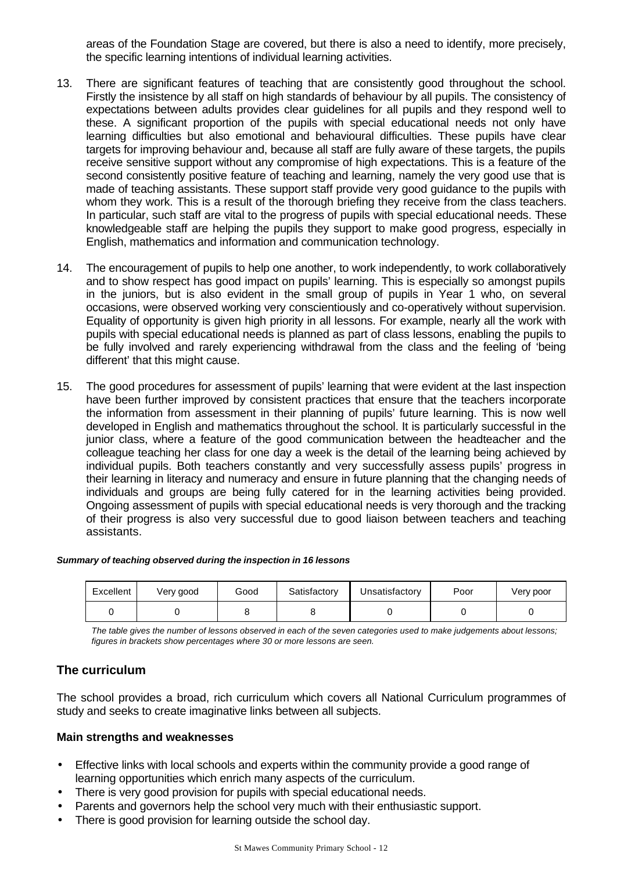areas of the Foundation Stage are covered, but there is also a need to identify, more precisely, the specific learning intentions of individual learning activities.

- 13. There are significant features of teaching that are consistently good throughout the school. Firstly the insistence by all staff on high standards of behaviour by all pupils. The consistency of expectations between adults provides clear guidelines for all pupils and they respond well to these. A significant proportion of the pupils with special educational needs not only have learning difficulties but also emotional and behavioural difficulties. These pupils have clear targets for improving behaviour and, because all staff are fully aware of these targets, the pupils receive sensitive support without any compromise of high expectations. This is a feature of the second consistently positive feature of teaching and learning, namely the very good use that is made of teaching assistants. These support staff provide very good guidance to the pupils with whom they work. This is a result of the thorough briefing they receive from the class teachers. In particular, such staff are vital to the progress of pupils with special educational needs. These knowledgeable staff are helping the pupils they support to make good progress, especially in English, mathematics and information and communication technology.
- 14. The encouragement of pupils to help one another, to work independently, to work collaboratively and to show respect has good impact on pupils' learning. This is especially so amongst pupils in the juniors, but is also evident in the small group of pupils in Year 1 who, on several occasions, were observed working very conscientiously and co-operatively without supervision. Equality of opportunity is given high priority in all lessons. For example, nearly all the work with pupils with special educational needs is planned as part of class lessons, enabling the pupils to be fully involved and rarely experiencing withdrawal from the class and the feeling of 'being different' that this might cause.
- 15. The good procedures for assessment of pupils' learning that were evident at the last inspection have been further improved by consistent practices that ensure that the teachers incorporate the information from assessment in their planning of pupils' future learning. This is now well developed in English and mathematics throughout the school. It is particularly successful in the junior class, where a feature of the good communication between the headteacher and the colleague teaching her class for one day a week is the detail of the learning being achieved by individual pupils. Both teachers constantly and very successfully assess pupils' progress in their learning in literacy and numeracy and ensure in future planning that the changing needs of individuals and groups are being fully catered for in the learning activities being provided. Ongoing assessment of pupils with special educational needs is very thorough and the tracking of their progress is also very successful due to good liaison between teachers and teaching assistants.

| Excellent | Very good | Good | Satisfactory | Unsatisfactory | Poor | Very poor |
|-----------|-----------|------|--------------|----------------|------|-----------|
|           |           |      |              |                |      |           |

*The table gives the number of lessons observed in each of the seven categories used to make judgements about lessons; figures in brackets show percentages where 30 or more lessons are seen.*

# **The curriculum**

The school provides a broad, rich curriculum which covers all National Curriculum programmes of study and seeks to create imaginative links between all subjects.

### **Main strengths and weaknesses**

- Effective links with local schools and experts within the community provide a good range of learning opportunities which enrich many aspects of the curriculum.
- There is very good provision for pupils with special educational needs.
- Parents and governors help the school very much with their enthusiastic support.
- There is good provision for learning outside the school day.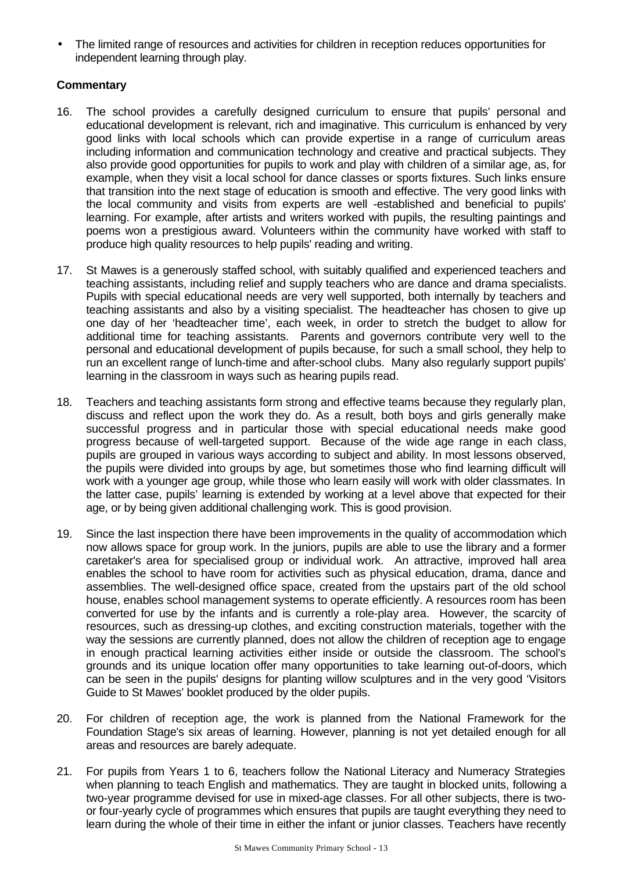• The limited range of resources and activities for children in reception reduces opportunities for independent learning through play.

- 16. The school provides a carefully designed curriculum to ensure that pupils' personal and educational development is relevant, rich and imaginative. This curriculum is enhanced by very good links with local schools which can provide expertise in a range of curriculum areas including information and communication technology and creative and practical subjects. They also provide good opportunities for pupils to work and play with children of a similar age, as, for example, when they visit a local school for dance classes or sports fixtures. Such links ensure that transition into the next stage of education is smooth and effective. The very good links with the local community and visits from experts are well -established and beneficial to pupils' learning. For example, after artists and writers worked with pupils, the resulting paintings and poems won a prestigious award. Volunteers within the community have worked with staff to produce high quality resources to help pupils' reading and writing.
- 17. St Mawes is a generously staffed school, with suitably qualified and experienced teachers and teaching assistants, including relief and supply teachers who are dance and drama specialists. Pupils with special educational needs are very well supported, both internally by teachers and teaching assistants and also by a visiting specialist. The headteacher has chosen to give up one day of her 'headteacher time', each week, in order to stretch the budget to allow for additional time for teaching assistants. Parents and governors contribute very well to the personal and educational development of pupils because, for such a small school, they help to run an excellent range of lunch-time and after-school clubs. Many also regularly support pupils' learning in the classroom in ways such as hearing pupils read.
- 18. Teachers and teaching assistants form strong and effective teams because they regularly plan, discuss and reflect upon the work they do. As a result, both boys and girls generally make successful progress and in particular those with special educational needs make good progress because of well-targeted support. Because of the wide age range in each class, pupils are grouped in various ways according to subject and ability. In most lessons observed, the pupils were divided into groups by age, but sometimes those who find learning difficult will work with a younger age group, while those who learn easily will work with older classmates. In the latter case, pupils' learning is extended by working at a level above that expected for their age, or by being given additional challenging work. This is good provision.
- 19. Since the last inspection there have been improvements in the quality of accommodation which now allows space for group work. In the juniors, pupils are able to use the library and a former caretaker's area for specialised group or individual work. An attractive, improved hall area enables the school to have room for activities such as physical education, drama, dance and assemblies. The well-designed office space, created from the upstairs part of the old school house, enables school management systems to operate efficiently. A resources room has been converted for use by the infants and is currently a role-play area. However, the scarcity of resources, such as dressing-up clothes, and exciting construction materials, together with the way the sessions are currently planned, does not allow the children of reception age to engage in enough practical learning activities either inside or outside the classroom. The school's grounds and its unique location offer many opportunities to take learning out-of-doors, which can be seen in the pupils' designs for planting willow sculptures and in the very good 'Visitors Guide to St Mawes' booklet produced by the older pupils.
- 20. For children of reception age, the work is planned from the National Framework for the Foundation Stage's six areas of learning. However, planning is not yet detailed enough for all areas and resources are barely adequate.
- 21. For pupils from Years 1 to 6, teachers follow the National Literacy and Numeracy Strategies when planning to teach English and mathematics. They are taught in blocked units, following a two-year programme devised for use in mixed-age classes. For all other subjects, there is twoor four-yearly cycle of programmes which ensures that pupils are taught everything they need to learn during the whole of their time in either the infant or junior classes. Teachers have recently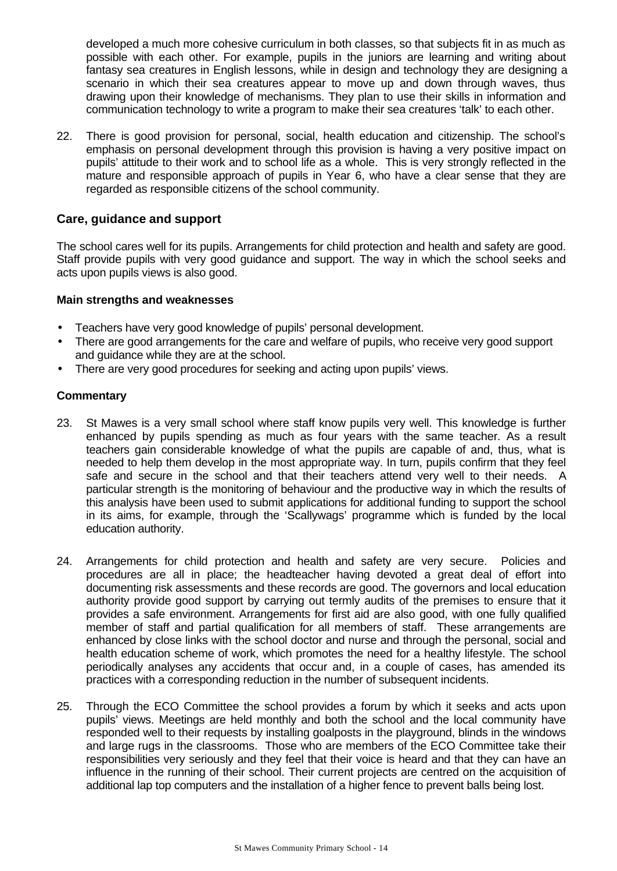developed a much more cohesive curriculum in both classes, so that subjects fit in as much as possible with each other. For example, pupils in the juniors are learning and writing about fantasy sea creatures in English lessons, while in design and technology they are designing a scenario in which their sea creatures appear to move up and down through waves, thus drawing upon their knowledge of mechanisms. They plan to use their skills in information and communication technology to write a program to make their sea creatures 'talk' to each other.

22. There is good provision for personal, social, health education and citizenship. The school's emphasis on personal development through this provision is having a very positive impact on pupils' attitude to their work and to school life as a whole. This is very strongly reflected in the mature and responsible approach of pupils in Year 6, who have a clear sense that they are regarded as responsible citizens of the school community.

### **Care, guidance and support**

The school cares well for its pupils. Arrangements for child protection and health and safety are good. Staff provide pupils with very good guidance and support. The way in which the school seeks and acts upon pupils views is also good.

#### **Main strengths and weaknesses**

- Teachers have very good knowledge of pupils' personal development.
- There are good arrangements for the care and welfare of pupils, who receive very good support and guidance while they are at the school.
- There are very good procedures for seeking and acting upon pupils' views.

- 23. St Mawes is a very small school where staff know pupils very well. This knowledge is further enhanced by pupils spending as much as four years with the same teacher. As a result teachers gain considerable knowledge of what the pupils are capable of and, thus, what is needed to help them develop in the most appropriate way. In turn, pupils confirm that they feel safe and secure in the school and that their teachers attend very well to their needs. A particular strength is the monitoring of behaviour and the productive way in which the results of this analysis have been used to submit applications for additional funding to support the school in its aims, for example, through the 'Scallywags' programme which is funded by the local education authority.
- 24. Arrangements for child protection and health and safety are very secure. Policies and procedures are all in place; the headteacher having devoted a great deal of effort into documenting risk assessments and these records are good. The governors and local education authority provide good support by carrying out termly audits of the premises to ensure that it provides a safe environment. Arrangements for first aid are also good, with one fully qualified member of staff and partial qualification for all members of staff. These arrangements are enhanced by close links with the school doctor and nurse and through the personal, social and health education scheme of work, which promotes the need for a healthy lifestyle. The school periodically analyses any accidents that occur and, in a couple of cases, has amended its practices with a corresponding reduction in the number of subsequent incidents.
- 25. Through the ECO Committee the school provides a forum by which it seeks and acts upon pupils' views. Meetings are held monthly and both the school and the local community have responded well to their requests by installing goalposts in the playground, blinds in the windows and large rugs in the classrooms. Those who are members of the ECO Committee take their responsibilities very seriously and they feel that their voice is heard and that they can have an influence in the running of their school. Their current projects are centred on the acquisition of additional lap top computers and the installation of a higher fence to prevent balls being lost.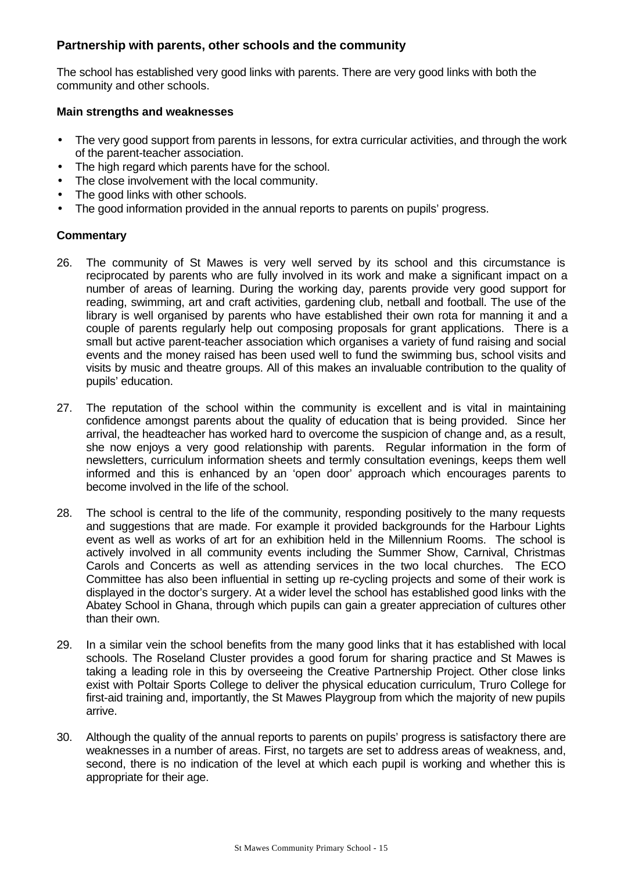# **Partnership with parents, other schools and the community**

The school has established very good links with parents. There are very good links with both the community and other schools.

#### **Main strengths and weaknesses**

- The very good support from parents in lessons, for extra curricular activities, and through the work of the parent-teacher association.
- The high regard which parents have for the school.
- The close involvement with the local community.
- The good links with other schools.
- The good information provided in the annual reports to parents on pupils' progress.

- 26. The community of St Mawes is very well served by its school and this circumstance is reciprocated by parents who are fully involved in its work and make a significant impact on a number of areas of learning. During the working day, parents provide very good support for reading, swimming, art and craft activities, gardening club, netball and football. The use of the library is well organised by parents who have established their own rota for manning it and a couple of parents regularly help out composing proposals for grant applications. There is a small but active parent-teacher association which organises a variety of fund raising and social events and the money raised has been used well to fund the swimming bus, school visits and visits by music and theatre groups. All of this makes an invaluable contribution to the quality of pupils' education.
- 27. The reputation of the school within the community is excellent and is vital in maintaining confidence amongst parents about the quality of education that is being provided. Since her arrival, the headteacher has worked hard to overcome the suspicion of change and, as a result, she now enjoys a very good relationship with parents. Regular information in the form of newsletters, curriculum information sheets and termly consultation evenings, keeps them well informed and this is enhanced by an 'open door' approach which encourages parents to become involved in the life of the school.
- 28. The school is central to the life of the community, responding positively to the many requests and suggestions that are made. For example it provided backgrounds for the Harbour Lights event as well as works of art for an exhibition held in the Millennium Rooms. The school is actively involved in all community events including the Summer Show, Carnival, Christmas Carols and Concerts as well as attending services in the two local churches. The ECO Committee has also been influential in setting up re-cycling projects and some of their work is displayed in the doctor's surgery. At a wider level the school has established good links with the Abatey School in Ghana, through which pupils can gain a greater appreciation of cultures other than their own.
- 29. In a similar vein the school benefits from the many good links that it has established with local schools. The Roseland Cluster provides a good forum for sharing practice and St Mawes is taking a leading role in this by overseeing the Creative Partnership Project. Other close links exist with Poltair Sports College to deliver the physical education curriculum, Truro College for first-aid training and, importantly, the St Mawes Playgroup from which the majority of new pupils arrive.
- 30. Although the quality of the annual reports to parents on pupils' progress is satisfactory there are weaknesses in a number of areas. First, no targets are set to address areas of weakness, and, second, there is no indication of the level at which each pupil is working and whether this is appropriate for their age.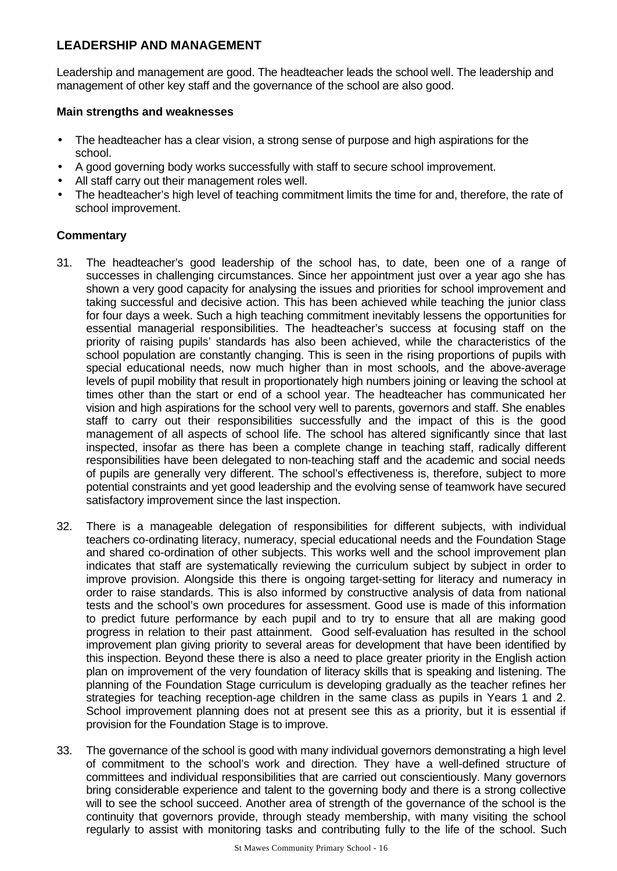# **LEADERSHIP AND MANAGEMENT**

Leadership and management are good. The headteacher leads the school well. The leadership and management of other key staff and the governance of the school are also good.

#### **Main strengths and weaknesses**

- The headteacher has a clear vision, a strong sense of purpose and high aspirations for the school.
- A good governing body works successfully with staff to secure school improvement.
- All staff carry out their management roles well.
- The headteacher's high level of teaching commitment limits the time for and, therefore, the rate of school improvement.

- 31. The headteacher's good leadership of the school has, to date, been one of a range of successes in challenging circumstances. Since her appointment just over a year ago she has shown a very good capacity for analysing the issues and priorities for school improvement and taking successful and decisive action. This has been achieved while teaching the junior class for four days a week. Such a high teaching commitment inevitably lessens the opportunities for essential managerial responsibilities. The headteacher's success at focusing staff on the priority of raising pupils' standards has also been achieved, while the characteristics of the school population are constantly changing. This is seen in the rising proportions of pupils with special educational needs, now much higher than in most schools, and the above-average levels of pupil mobility that result in proportionately high numbers joining or leaving the school at times other than the start or end of a school year. The headteacher has communicated her vision and high aspirations for the school very well to parents, governors and staff. She enables staff to carry out their responsibilities successfully and the impact of this is the good management of all aspects of school life. The school has altered significantly since that last inspected, insofar as there has been a complete change in teaching staff, radically different responsibilities have been delegated to non-teaching staff and the academic and social needs of pupils are generally very different. The school's effectiveness is, therefore, subject to more potential constraints and yet good leadership and the evolving sense of teamwork have secured satisfactory improvement since the last inspection.
- 32. There is a manageable delegation of responsibilities for different subjects, with individual teachers co-ordinating literacy, numeracy, special educational needs and the Foundation Stage and shared co-ordination of other subjects. This works well and the school improvement plan indicates that staff are systematically reviewing the curriculum subject by subject in order to improve provision. Alongside this there is ongoing target-setting for literacy and numeracy in order to raise standards. This is also informed by constructive analysis of data from national tests and the school's own procedures for assessment. Good use is made of this information to predict future performance by each pupil and to try to ensure that all are making good progress in relation to their past attainment. Good self-evaluation has resulted in the school improvement plan giving priority to several areas for development that have been identified by this inspection. Beyond these there is also a need to place greater priority in the English action plan on improvement of the very foundation of literacy skills that is speaking and listening. The planning of the Foundation Stage curriculum is developing gradually as the teacher refines her strategies for teaching reception-age children in the same class as pupils in Years 1 and 2. School improvement planning does not at present see this as a priority, but it is essential if provision for the Foundation Stage is to improve.
- 33. The governance of the school is good with many individual governors demonstrating a high level of commitment to the school's work and direction. They have a well-defined structure of committees and individual responsibilities that are carried out conscientiously. Many governors bring considerable experience and talent to the governing body and there is a strong collective will to see the school succeed. Another area of strength of the governance of the school is the continuity that governors provide, through steady membership, with many visiting the school regularly to assist with monitoring tasks and contributing fully to the life of the school. Such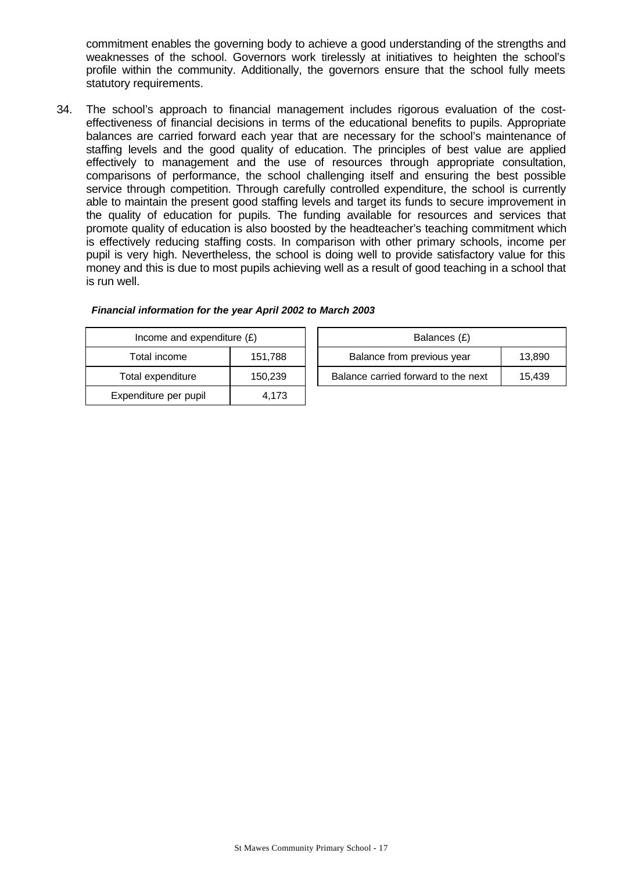commitment enables the governing body to achieve a good understanding of the strengths and weaknesses of the school. Governors work tirelessly at initiatives to heighten the school's profile within the community. Additionally, the governors ensure that the school fully meets statutory requirements.

34. The school's approach to financial management includes rigorous evaluation of the costeffectiveness of financial decisions in terms of the educational benefits to pupils. Appropriate balances are carried forward each year that are necessary for the school's maintenance of staffing levels and the good quality of education. The principles of best value are applied effectively to management and the use of resources through appropriate consultation, comparisons of performance, the school challenging itself and ensuring the best possible service through competition. Through carefully controlled expenditure, the school is currently able to maintain the present good staffing levels and target its funds to secure improvement in the quality of education for pupils. The funding available for resources and services that promote quality of education is also boosted by the headteacher's teaching commitment which is effectively reducing staffing costs. In comparison with other primary schools, income per pupil is very high. Nevertheless, the school is doing well to provide satisfactory value for this money and this is due to most pupils achieving well as a result of good teaching in a school that is run well.

| Income and expenditure $(E)$ |         | Balances (£)                   |
|------------------------------|---------|--------------------------------|
| Total income                 | 151,788 | Balance from previous year     |
| Total expenditure            | 150,239 | Balance carried forward to the |
| Expenditure per pupil        | 4.173   |                                |

|  | Financial information for the year April 2002 to March 2003 |
|--|-------------------------------------------------------------|
|--|-------------------------------------------------------------|

| Income and expenditure $(E)$ | Balances (£)                        |        |
|------------------------------|-------------------------------------|--------|
| 151.788<br>Total income      | Balance from previous year          | 13.890 |
| 150.239<br>Total expenditure | Balance carried forward to the next | 15.439 |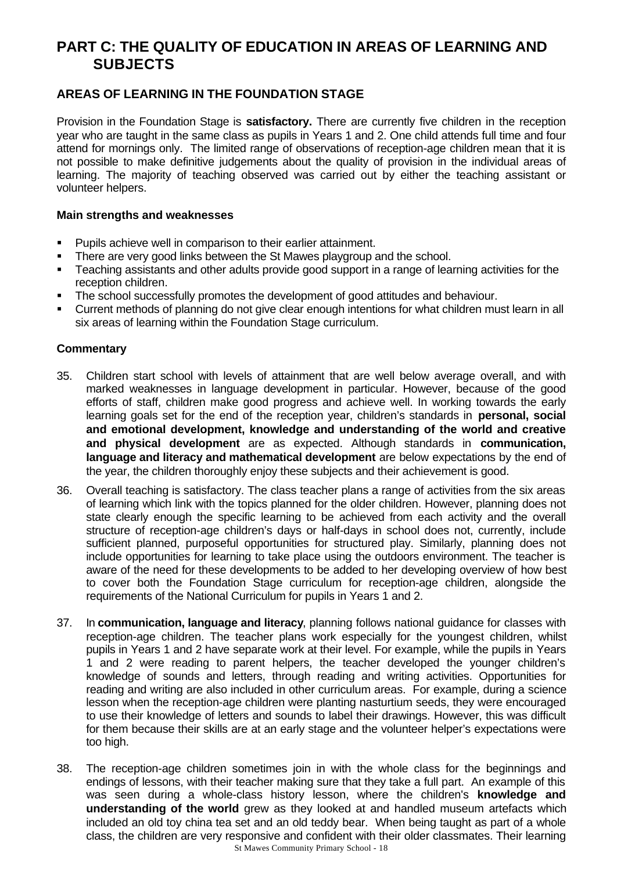# **PART C: THE QUALITY OF EDUCATION IN AREAS OF LEARNING AND SUBJECTS**

# **AREAS OF LEARNING IN THE FOUNDATION STAGE**

Provision in the Foundation Stage is **satisfactory.** There are currently five children in the reception year who are taught in the same class as pupils in Years 1 and 2. One child attends full time and four attend for mornings only. The limited range of observations of reception-age children mean that it is not possible to make definitive judgements about the quality of provision in the individual areas of learning. The majority of teaching observed was carried out by either the teaching assistant or volunteer helpers.

#### **Main strengths and weaknesses**

- **Pupils achieve well in comparison to their earlier attainment.**
- There are very good links between the St Mawes playgroup and the school.
- **F** Teaching assistants and other adults provide good support in a range of learning activities for the reception children.
- The school successfully promotes the development of good attitudes and behaviour.
- ß Current methods of planning do not give clear enough intentions for what children must learn in all six areas of learning within the Foundation Stage curriculum.

- 35. Children start school with levels of attainment that are well below average overall, and with marked weaknesses in language development in particular. However, because of the good efforts of staff, children make good progress and achieve well. In working towards the early learning goals set for the end of the reception year, children's standards in **personal, social and emotional development, knowledge and understanding of the world and creative and physical development** are as expected. Although standards in **communication, language and literacy and mathematical development** are below expectations by the end of the year, the children thoroughly enjoy these subjects and their achievement is good.
- 36. Overall teaching is satisfactory. The class teacher plans a range of activities from the six areas of learning which link with the topics planned for the older children. However, planning does not state clearly enough the specific learning to be achieved from each activity and the overall structure of reception-age children's days or half-days in school does not, currently, include sufficient planned, purposeful opportunities for structured play. Similarly, planning does not include opportunities for learning to take place using the outdoors environment. The teacher is aware of the need for these developments to be added to her developing overview of how best to cover both the Foundation Stage curriculum for reception-age children, alongside the requirements of the National Curriculum for pupils in Years 1 and 2.
- 37. In **communication, language and literacy**, planning follows national guidance for classes with reception-age children. The teacher plans work especially for the youngest children, whilst pupils in Years 1 and 2 have separate work at their level. For example, while the pupils in Years 1 and 2 were reading to parent helpers, the teacher developed the younger children's knowledge of sounds and letters, through reading and writing activities. Opportunities for reading and writing are also included in other curriculum areas. For example, during a science lesson when the reception-age children were planting nasturtium seeds, they were encouraged to use their knowledge of letters and sounds to label their drawings. However, this was difficult for them because their skills are at an early stage and the volunteer helper's expectations were too high.
- St Mawes Community Primary School 18 38. The reception-age children sometimes join in with the whole class for the beginnings and endings of lessons, with their teacher making sure that they take a full part. An example of this was seen during a whole-class history lesson, where the children's **knowledge and understanding of the world** grew as they looked at and handled museum artefacts which included an old toy china tea set and an old teddy bear. When being taught as part of a whole class, the children are very responsive and confident with their older classmates. Their learning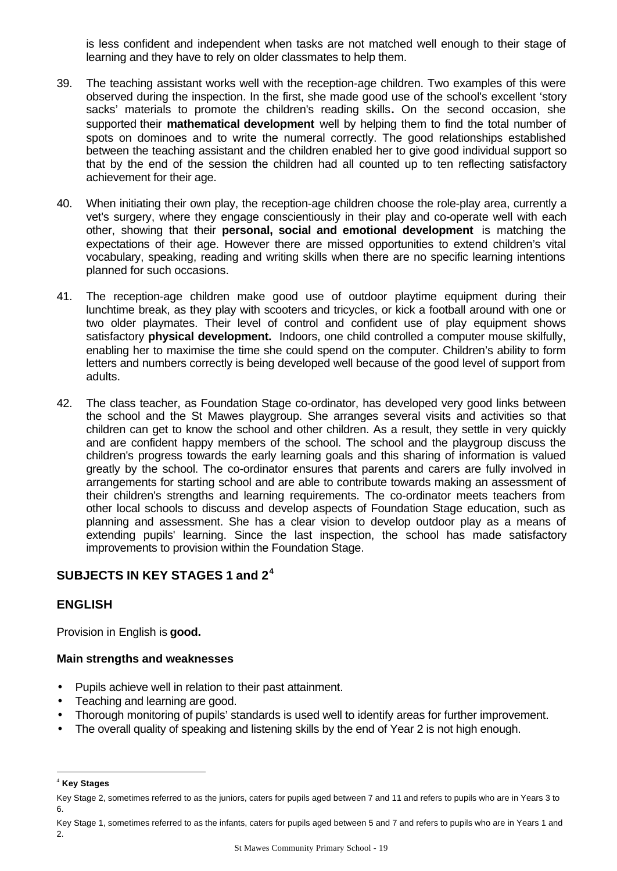is less confident and independent when tasks are not matched well enough to their stage of learning and they have to rely on older classmates to help them.

- 39. The teaching assistant works well with the reception-age children. Two examples of this were observed during the inspection. In the first, she made good use of the school's excellent 'story sacks' materials to promote the children's reading skills**.** On the second occasion, she supported their **mathematical development** well by helping them to find the total number of spots on dominoes and to write the numeral correctly. The good relationships established between the teaching assistant and the children enabled her to give good individual support so that by the end of the session the children had all counted up to ten reflecting satisfactory achievement for their age.
- 40. When initiating their own play, the reception-age children choose the role-play area, currently a vet's surgery, where they engage conscientiously in their play and co-operate well with each other, showing that their **personal, social and emotional development** is matching the expectations of their age. However there are missed opportunities to extend children's vital vocabulary, speaking, reading and writing skills when there are no specific learning intentions planned for such occasions.
- 41. The reception-age children make good use of outdoor playtime equipment during their lunchtime break, as they play with scooters and tricycles, or kick a football around with one or two older playmates. Their level of control and confident use of play equipment shows satisfactory **physical development.** Indoors, one child controlled a computer mouse skilfully, enabling her to maximise the time she could spend on the computer. Children's ability to form letters and numbers correctly is being developed well because of the good level of support from adults.
- 42. The class teacher, as Foundation Stage co-ordinator, has developed very good links between the school and the St Mawes playgroup. She arranges several visits and activities so that children can get to know the school and other children. As a result, they settle in very quickly and are confident happy members of the school. The school and the playgroup discuss the children's progress towards the early learning goals and this sharing of information is valued greatly by the school. The co-ordinator ensures that parents and carers are fully involved in arrangements for starting school and are able to contribute towards making an assessment of their children's strengths and learning requirements. The co-ordinator meets teachers from other local schools to discuss and develop aspects of Foundation Stage education, such as planning and assessment. She has a clear vision to develop outdoor play as a means of extending pupils' learning. Since the last inspection, the school has made satisfactory improvements to provision within the Foundation Stage.

# **SUBJECTS IN KEY STAGES 1 and 2<sup>4</sup>**

# **ENGLISH**

Provision in English is **good.**

# **Main strengths and weaknesses**

- Pupils achieve well in relation to their past attainment.
- Teaching and learning are good.
- Thorough monitoring of pupils' standards is used well to identify areas for further improvement.
- The overall quality of speaking and listening skills by the end of Year 2 is not high enough.

l

<sup>4</sup> **Key Stages**

Key Stage 2, sometimes referred to as the juniors, caters for pupils aged between 7 and 11 and refers to pupils who are in Years 3 to 6.

Key Stage 1, sometimes referred to as the infants, caters for pupils aged between 5 and 7 and refers to pupils who are in Years 1 and 2.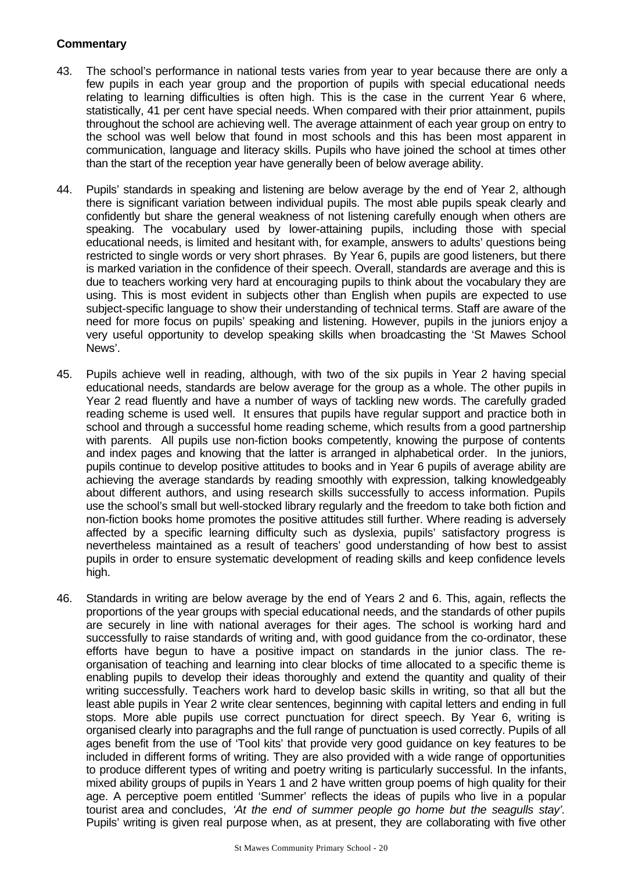- 43. The school's performance in national tests varies from year to year because there are only a few pupils in each year group and the proportion of pupils with special educational needs relating to learning difficulties is often high. This is the case in the current Year 6 where, statistically, 41 per cent have special needs. When compared with their prior attainment, pupils throughout the school are achieving well. The average attainment of each year group on entry to the school was well below that found in most schools and this has been most apparent in communication, language and literacy skills. Pupils who have joined the school at times other than the start of the reception year have generally been of below average ability.
- 44. Pupils' standards in speaking and listening are below average by the end of Year 2, although there is significant variation between individual pupils. The most able pupils speak clearly and confidently but share the general weakness of not listening carefully enough when others are speaking. The vocabulary used by lower-attaining pupils, including those with special educational needs, is limited and hesitant with, for example, answers to adults' questions being restricted to single words or very short phrases. By Year 6, pupils are good listeners, but there is marked variation in the confidence of their speech. Overall, standards are average and this is due to teachers working very hard at encouraging pupils to think about the vocabulary they are using. This is most evident in subjects other than English when pupils are expected to use subject-specific language to show their understanding of technical terms. Staff are aware of the need for more focus on pupils' speaking and listening. However, pupils in the juniors enjoy a very useful opportunity to develop speaking skills when broadcasting the 'St Mawes School News'.
- 45. Pupils achieve well in reading, although, with two of the six pupils in Year 2 having special educational needs, standards are below average for the group as a whole. The other pupils in Year 2 read fluently and have a number of ways of tackling new words. The carefully graded reading scheme is used well. It ensures that pupils have regular support and practice both in school and through a successful home reading scheme, which results from a good partnership with parents. All pupils use non-fiction books competently, knowing the purpose of contents and index pages and knowing that the latter is arranged in alphabetical order. In the juniors, pupils continue to develop positive attitudes to books and in Year 6 pupils of average ability are achieving the average standards by reading smoothly with expression, talking knowledgeably about different authors, and using research skills successfully to access information. Pupils use the school's small but well-stocked library regularly and the freedom to take both fiction and non-fiction books home promotes the positive attitudes still further. Where reading is adversely affected by a specific learning difficulty such as dyslexia, pupils' satisfactory progress is nevertheless maintained as a result of teachers' good understanding of how best to assist pupils in order to ensure systematic development of reading skills and keep confidence levels high.
- 46. Standards in writing are below average by the end of Years 2 and 6. This, again, reflects the proportions of the year groups with special educational needs, and the standards of other pupils are securely in line with national averages for their ages. The school is working hard and successfully to raise standards of writing and, with good guidance from the co-ordinator, these efforts have begun to have a positive impact on standards in the junior class. The reorganisation of teaching and learning into clear blocks of time allocated to a specific theme is enabling pupils to develop their ideas thoroughly and extend the quantity and quality of their writing successfully. Teachers work hard to develop basic skills in writing, so that all but the least able pupils in Year 2 write clear sentences, beginning with capital letters and ending in full stops. More able pupils use correct punctuation for direct speech. By Year 6, writing is organised clearly into paragraphs and the full range of punctuation is used correctly. Pupils of all ages benefit from the use of 'Tool kits' that provide very good guidance on key features to be included in different forms of writing. They are also provided with a wide range of opportunities to produce different types of writing and poetry writing is particularly successful. In the infants, mixed ability groups of pupils in Years 1 and 2 have written group poems of high quality for their age. A perceptive poem entitled 'Summer' reflects the ideas of pupils who live in a popular tourist area and concludes, *'At the end of summer people go home but the seagulls stay'.* Pupils' writing is given real purpose when, as at present, they are collaborating with five other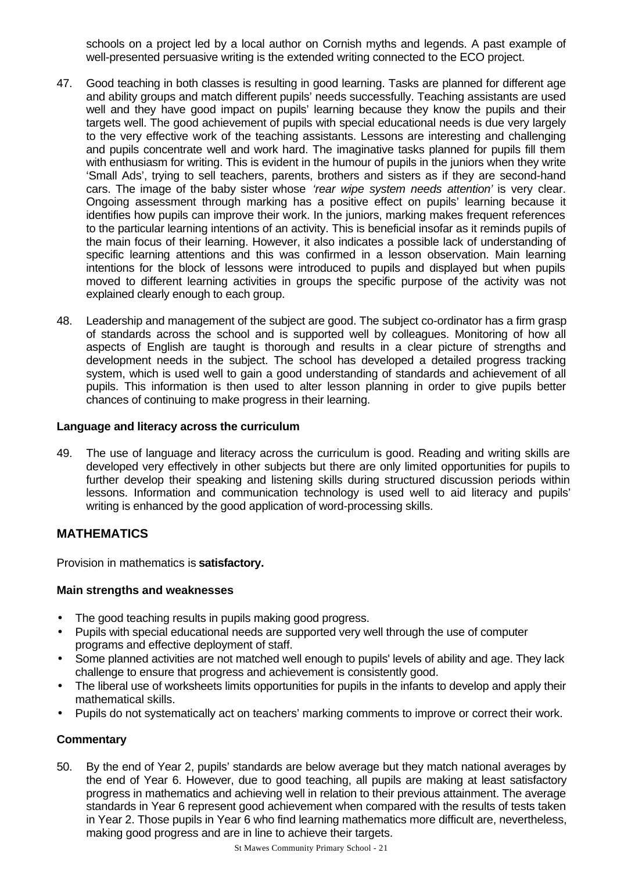schools on a project led by a local author on Cornish myths and legends. A past example of well-presented persuasive writing is the extended writing connected to the ECO project.

- 47. Good teaching in both classes is resulting in good learning. Tasks are planned for different age and ability groups and match different pupils' needs successfully. Teaching assistants are used well and they have good impact on pupils' learning because they know the pupils and their targets well. The good achievement of pupils with special educational needs is due very largely to the very effective work of the teaching assistants. Lessons are interesting and challenging and pupils concentrate well and work hard. The imaginative tasks planned for pupils fill them with enthusiasm for writing. This is evident in the humour of pupils in the juniors when they write 'Small Ads', trying to sell teachers, parents, brothers and sisters as if they are second-hand cars. The image of the baby sister whose *'rear wipe system needs attention'* is very clear. Ongoing assessment through marking has a positive effect on pupils' learning because it identifies how pupils can improve their work. In the juniors, marking makes frequent references to the particular learning intentions of an activity. This is beneficial insofar as it reminds pupils of the main focus of their learning. However, it also indicates a possible lack of understanding of specific learning attentions and this was confirmed in a lesson observation. Main learning intentions for the block of lessons were introduced to pupils and displayed but when pupils moved to different learning activities in groups the specific purpose of the activity was not explained clearly enough to each group.
- 48. Leadership and management of the subject are good. The subject co-ordinator has a firm grasp of standards across the school and is supported well by colleagues. Monitoring of how all aspects of English are taught is thorough and results in a clear picture of strengths and development needs in the subject. The school has developed a detailed progress tracking system, which is used well to gain a good understanding of standards and achievement of all pupils. This information is then used to alter lesson planning in order to give pupils better chances of continuing to make progress in their learning.

#### **Language and literacy across the curriculum**

49. The use of language and literacy across the curriculum is good. Reading and writing skills are developed very effectively in other subjects but there are only limited opportunities for pupils to further develop their speaking and listening skills during structured discussion periods within lessons. Information and communication technology is used well to aid literacy and pupils' writing is enhanced by the good application of word-processing skills.

# **MATHEMATICS**

Provision in mathematics is **satisfactory.**

#### **Main strengths and weaknesses**

- The good teaching results in pupils making good progress.
- Pupils with special educational needs are supported very well through the use of computer programs and effective deployment of staff.
- Some planned activities are not matched well enough to pupils' levels of ability and age. They lack challenge to ensure that progress and achievement is consistently good.
- The liberal use of worksheets limits opportunities for pupils in the infants to develop and apply their mathematical skills.
- Pupils do not systematically act on teachers' marking comments to improve or correct their work.

# **Commentary**

50. By the end of Year 2, pupils' standards are below average but they match national averages by the end of Year 6. However, due to good teaching, all pupils are making at least satisfactory progress in mathematics and achieving well in relation to their previous attainment. The average standards in Year 6 represent good achievement when compared with the results of tests taken in Year 2. Those pupils in Year 6 who find learning mathematics more difficult are, nevertheless, making good progress and are in line to achieve their targets.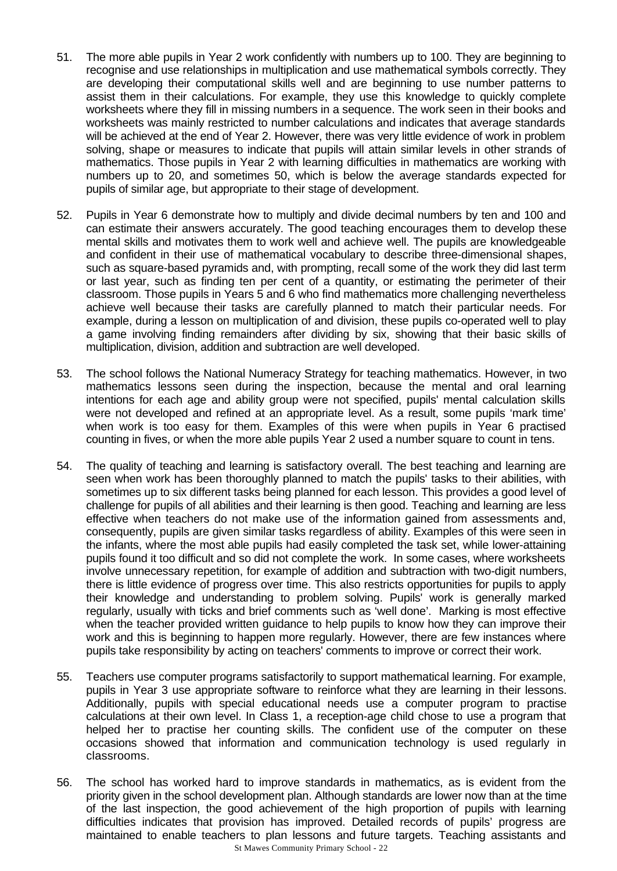- 51. The more able pupils in Year 2 work confidently with numbers up to 100. They are beginning to recognise and use relationships in multiplication and use mathematical symbols correctly. They are developing their computational skills well and are beginning to use number patterns to assist them in their calculations. For example, they use this knowledge to quickly complete worksheets where they fill in missing numbers in a sequence. The work seen in their books and worksheets was mainly restricted to number calculations and indicates that average standards will be achieved at the end of Year 2. However, there was very little evidence of work in problem solving, shape or measures to indicate that pupils will attain similar levels in other strands of mathematics. Those pupils in Year 2 with learning difficulties in mathematics are working with numbers up to 20, and sometimes 50, which is below the average standards expected for pupils of similar age, but appropriate to their stage of development.
- 52. Pupils in Year 6 demonstrate how to multiply and divide decimal numbers by ten and 100 and can estimate their answers accurately. The good teaching encourages them to develop these mental skills and motivates them to work well and achieve well. The pupils are knowledgeable and confident in their use of mathematical vocabulary to describe three-dimensional shapes, such as square-based pyramids and, with prompting, recall some of the work they did last term or last year, such as finding ten per cent of a quantity, or estimating the perimeter of their classroom. Those pupils in Years 5 and 6 who find mathematics more challenging nevertheless achieve well because their tasks are carefully planned to match their particular needs. For example, during a lesson on multiplication of and division, these pupils co-operated well to play a game involving finding remainders after dividing by six, showing that their basic skills of multiplication, division, addition and subtraction are well developed.
- 53. The school follows the National Numeracy Strategy for teaching mathematics. However, in two mathematics lessons seen during the inspection, because the mental and oral learning intentions for each age and ability group were not specified, pupils' mental calculation skills were not developed and refined at an appropriate level. As a result, some pupils 'mark time' when work is too easy for them. Examples of this were when pupils in Year 6 practised counting in fives, or when the more able pupils Year 2 used a number square to count in tens.
- 54. The quality of teaching and learning is satisfactory overall. The best teaching and learning are seen when work has been thoroughly planned to match the pupils' tasks to their abilities, with sometimes up to six different tasks being planned for each lesson. This provides a good level of challenge for pupils of all abilities and their learning is then good. Teaching and learning are less effective when teachers do not make use of the information gained from assessments and, consequently, pupils are given similar tasks regardless of ability. Examples of this were seen in the infants, where the most able pupils had easily completed the task set, while lower-attaining pupils found it too difficult and so did not complete the work. In some cases, where worksheets involve unnecessary repetition, for example of addition and subtraction with two-digit numbers, there is little evidence of progress over time. This also restricts opportunities for pupils to apply their knowledge and understanding to problem solving. Pupils' work is generally marked regularly, usually with ticks and brief comments such as 'well done'. Marking is most effective when the teacher provided written guidance to help pupils to know how they can improve their work and this is beginning to happen more regularly. However, there are few instances where pupils take responsibility by acting on teachers' comments to improve or correct their work.
- 55. Teachers use computer programs satisfactorily to support mathematical learning. For example, pupils in Year 3 use appropriate software to reinforce what they are learning in their lessons. Additionally, pupils with special educational needs use a computer program to practise calculations at their own level. In Class 1, a reception-age child chose to use a program that helped her to practise her counting skills. The confident use of the computer on these occasions showed that information and communication technology is used regularly in classrooms.
- St Mawes Community Primary School 22 56. The school has worked hard to improve standards in mathematics, as is evident from the priority given in the school development plan. Although standards are lower now than at the time of the last inspection, the good achievement of the high proportion of pupils with learning difficulties indicates that provision has improved. Detailed records of pupils' progress are maintained to enable teachers to plan lessons and future targets. Teaching assistants and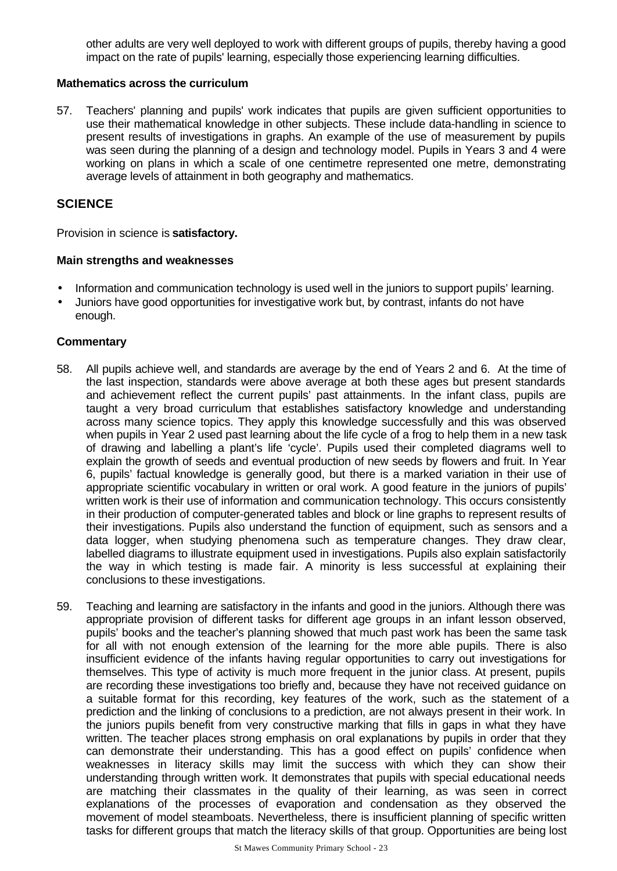other adults are very well deployed to work with different groups of pupils, thereby having a good impact on the rate of pupils' learning, especially those experiencing learning difficulties.

#### **Mathematics across the curriculum**

57. Teachers' planning and pupils' work indicates that pupils are given sufficient opportunities to use their mathematical knowledge in other subjects. These include data-handling in science to present results of investigations in graphs. An example of the use of measurement by pupils was seen during the planning of a design and technology model. Pupils in Years 3 and 4 were working on plans in which a scale of one centimetre represented one metre, demonstrating average levels of attainment in both geography and mathematics.

#### **SCIENCE**

Provision in science is **satisfactory.**

#### **Main strengths and weaknesses**

- Information and communication technology is used well in the juniors to support pupils' learning.
- Juniors have good opportunities for investigative work but, by contrast, infants do not have enough.

- 58. All pupils achieve well, and standards are average by the end of Years 2 and 6. At the time of the last inspection, standards were above average at both these ages but present standards and achievement reflect the current pupils' past attainments. In the infant class, pupils are taught a very broad curriculum that establishes satisfactory knowledge and understanding across many science topics. They apply this knowledge successfully and this was observed when pupils in Year 2 used past learning about the life cycle of a frog to help them in a new task of drawing and labelling a plant's life 'cycle'. Pupils used their completed diagrams well to explain the growth of seeds and eventual production of new seeds by flowers and fruit. In Year 6, pupils' factual knowledge is generally good, but there is a marked variation in their use of appropriate scientific vocabulary in written or oral work. A good feature in the juniors of pupils' written work is their use of information and communication technology. This occurs consistently in their production of computer-generated tables and block or line graphs to represent results of their investigations. Pupils also understand the function of equipment, such as sensors and a data logger, when studying phenomena such as temperature changes. They draw clear, labelled diagrams to illustrate equipment used in investigations. Pupils also explain satisfactorily the way in which testing is made fair. A minority is less successful at explaining their conclusions to these investigations.
- 59. Teaching and learning are satisfactory in the infants and good in the juniors. Although there was appropriate provision of different tasks for different age groups in an infant lesson observed, pupils' books and the teacher's planning showed that much past work has been the same task for all with not enough extension of the learning for the more able pupils. There is also insufficient evidence of the infants having regular opportunities to carry out investigations for themselves. This type of activity is much more frequent in the junior class. At present, pupils are recording these investigations too briefly and, because they have not received guidance on a suitable format for this recording, key features of the work, such as the statement of a prediction and the linking of conclusions to a prediction, are not always present in their work. In the juniors pupils benefit from very constructive marking that fills in gaps in what they have written. The teacher places strong emphasis on oral explanations by pupils in order that they can demonstrate their understanding. This has a good effect on pupils' confidence when weaknesses in literacy skills may limit the success with which they can show their understanding through written work. It demonstrates that pupils with special educational needs are matching their classmates in the quality of their learning, as was seen in correct explanations of the processes of evaporation and condensation as they observed the movement of model steamboats. Nevertheless, there is insufficient planning of specific written tasks for different groups that match the literacy skills of that group. Opportunities are being lost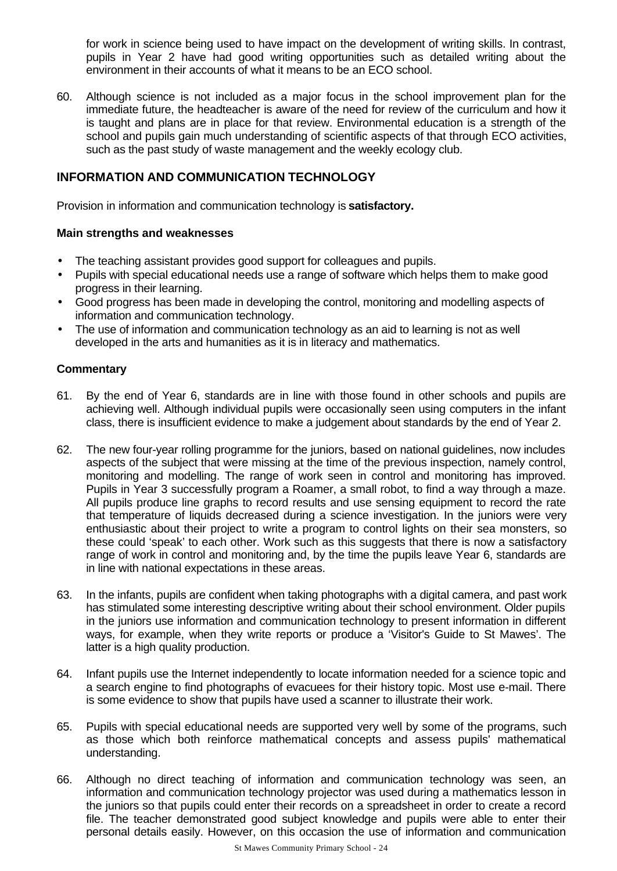for work in science being used to have impact on the development of writing skills. In contrast, pupils in Year 2 have had good writing opportunities such as detailed writing about the environment in their accounts of what it means to be an ECO school.

60. Although science is not included as a major focus in the school improvement plan for the immediate future, the headteacher is aware of the need for review of the curriculum and how it is taught and plans are in place for that review. Environmental education is a strength of the school and pupils gain much understanding of scientific aspects of that through ECO activities, such as the past study of waste management and the weekly ecology club.

# **INFORMATION AND COMMUNICATION TECHNOLOGY**

Provision in information and communication technology is **satisfactory.**

#### **Main strengths and weaknesses**

- The teaching assistant provides good support for colleagues and pupils.
- Pupils with special educational needs use a range of software which helps them to make good progress in their learning.
- Good progress has been made in developing the control, monitoring and modelling aspects of information and communication technology.
- The use of information and communication technology as an aid to learning is not as well developed in the arts and humanities as it is in literacy and mathematics.

- 61. By the end of Year 6, standards are in line with those found in other schools and pupils are achieving well. Although individual pupils were occasionally seen using computers in the infant class, there is insufficient evidence to make a judgement about standards by the end of Year 2.
- 62. The new four-year rolling programme for the juniors, based on national guidelines, now includes aspects of the subject that were missing at the time of the previous inspection, namely control, monitoring and modelling. The range of work seen in control and monitoring has improved. Pupils in Year 3 successfully program a Roamer, a small robot, to find a way through a maze. All pupils produce line graphs to record results and use sensing equipment to record the rate that temperature of liquids decreased during a science investigation. In the juniors were very enthusiastic about their project to write a program to control lights on their sea monsters, so these could 'speak' to each other. Work such as this suggests that there is now a satisfactory range of work in control and monitoring and, by the time the pupils leave Year 6, standards are in line with national expectations in these areas.
- 63. In the infants, pupils are confident when taking photographs with a digital camera, and past work has stimulated some interesting descriptive writing about their school environment. Older pupils in the juniors use information and communication technology to present information in different ways, for example, when they write reports or produce a 'Visitor's Guide to St Mawes'. The latter is a high quality production.
- 64. Infant pupils use the Internet independently to locate information needed for a science topic and a search engine to find photographs of evacuees for their history topic. Most use e-mail. There is some evidence to show that pupils have used a scanner to illustrate their work.
- 65. Pupils with special educational needs are supported very well by some of the programs, such as those which both reinforce mathematical concepts and assess pupils' mathematical understanding.
- 66. Although no direct teaching of information and communication technology was seen, an information and communication technology projector was used during a mathematics lesson in the juniors so that pupils could enter their records on a spreadsheet in order to create a record file. The teacher demonstrated good subject knowledge and pupils were able to enter their personal details easily. However, on this occasion the use of information and communication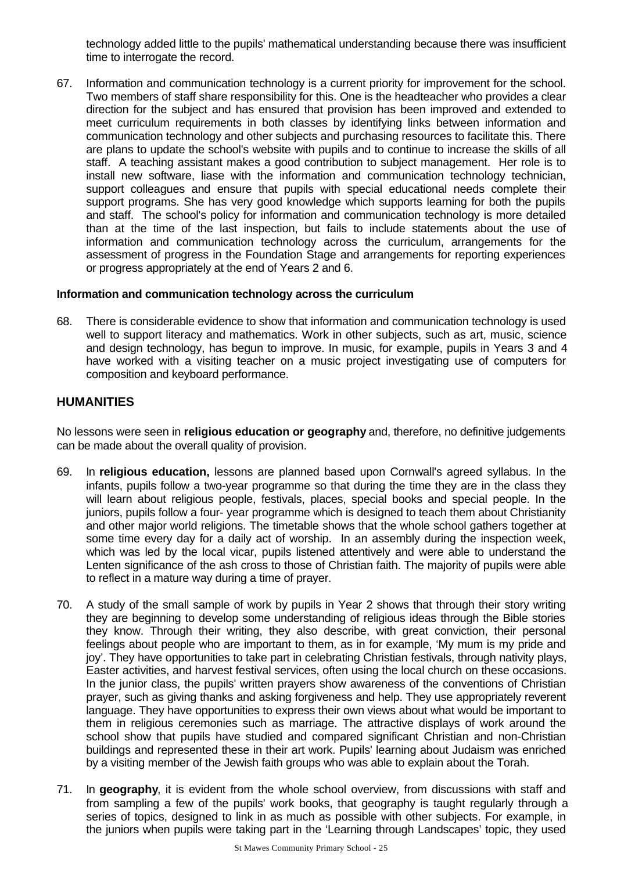technology added little to the pupils' mathematical understanding because there was insufficient time to interrogate the record.

67. Information and communication technology is a current priority for improvement for the school. Two members of staff share responsibility for this. One is the headteacher who provides a clear direction for the subject and has ensured that provision has been improved and extended to meet curriculum requirements in both classes by identifying links between information and communication technology and other subjects and purchasing resources to facilitate this. There are plans to update the school's website with pupils and to continue to increase the skills of all staff. A teaching assistant makes a good contribution to subject management. Her role is to install new software, liase with the information and communication technology technician, support colleagues and ensure that pupils with special educational needs complete their support programs. She has very good knowledge which supports learning for both the pupils and staff. The school's policy for information and communication technology is more detailed than at the time of the last inspection, but fails to include statements about the use of information and communication technology across the curriculum, arrangements for the assessment of progress in the Foundation Stage and arrangements for reporting experiences or progress appropriately at the end of Years 2 and 6.

#### **Information and communication technology across the curriculum**

68. There is considerable evidence to show that information and communication technology is used well to support literacy and mathematics. Work in other subjects, such as art, music, science and design technology, has begun to improve. In music, for example, pupils in Years 3 and 4 have worked with a visiting teacher on a music project investigating use of computers for composition and keyboard performance.

# **HUMANITIES**

No lessons were seen in **religious education or geography** and, therefore, no definitive judgements can be made about the overall quality of provision.

- 69. In **religious education,** lessons are planned based upon Cornwall's agreed syllabus. In the infants, pupils follow a two-year programme so that during the time they are in the class they will learn about religious people, festivals, places, special books and special people. In the juniors, pupils follow a four- year programme which is designed to teach them about Christianity and other major world religions. The timetable shows that the whole school gathers together at some time every day for a daily act of worship. In an assembly during the inspection week, which was led by the local vicar, pupils listened attentively and were able to understand the Lenten significance of the ash cross to those of Christian faith. The majority of pupils were able to reflect in a mature way during a time of prayer.
- 70. A study of the small sample of work by pupils in Year 2 shows that through their story writing they are beginning to develop some understanding of religious ideas through the Bible stories they know. Through their writing, they also describe, with great conviction, their personal feelings about people who are important to them, as in for example, 'My mum is my pride and joy'. They have opportunities to take part in celebrating Christian festivals, through nativity plays, Easter activities, and harvest festival services, often using the local church on these occasions. In the junior class, the pupils' written prayers show awareness of the conventions of Christian prayer, such as giving thanks and asking forgiveness and help. They use appropriately reverent language. They have opportunities to express their own views about what would be important to them in religious ceremonies such as marriage. The attractive displays of work around the school show that pupils have studied and compared significant Christian and non-Christian buildings and represented these in their art work. Pupils' learning about Judaism was enriched by a visiting member of the Jewish faith groups who was able to explain about the Torah.
- 71. In **geography**, it is evident from the whole school overview, from discussions with staff and from sampling a few of the pupils' work books, that geography is taught regularly through a series of topics, designed to link in as much as possible with other subjects. For example, in the juniors when pupils were taking part in the 'Learning through Landscapes' topic, they used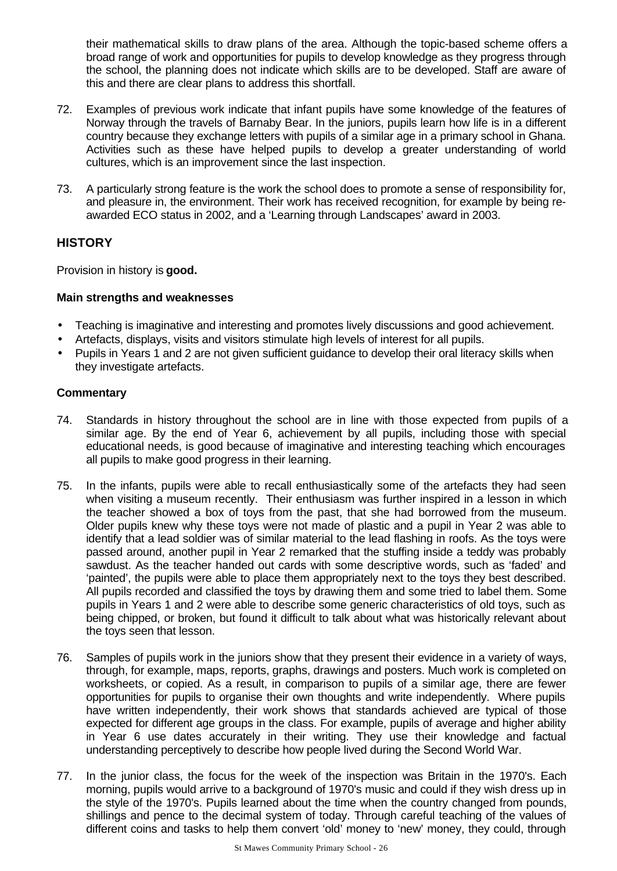their mathematical skills to draw plans of the area. Although the topic-based scheme offers a broad range of work and opportunities for pupils to develop knowledge as they progress through the school, the planning does not indicate which skills are to be developed. Staff are aware of this and there are clear plans to address this shortfall.

- 72. Examples of previous work indicate that infant pupils have some knowledge of the features of Norway through the travels of Barnaby Bear. In the juniors, pupils learn how life is in a different country because they exchange letters with pupils of a similar age in a primary school in Ghana. Activities such as these have helped pupils to develop a greater understanding of world cultures, which is an improvement since the last inspection.
- 73. A particularly strong feature is the work the school does to promote a sense of responsibility for, and pleasure in, the environment. Their work has received recognition, for example by being reawarded ECO status in 2002, and a 'Learning through Landscapes' award in 2003.

### **HISTORY**

Provision in history is **good.**

#### **Main strengths and weaknesses**

- Teaching is imaginative and interesting and promotes lively discussions and good achievement.
- Artefacts, displays, visits and visitors stimulate high levels of interest for all pupils.
- Pupils in Years 1 and 2 are not given sufficient guidance to develop their oral literacy skills when they investigate artefacts.

- 74. Standards in history throughout the school are in line with those expected from pupils of a similar age. By the end of Year 6, achievement by all pupils, including those with special educational needs, is good because of imaginative and interesting teaching which encourages all pupils to make good progress in their learning.
- 75. In the infants, pupils were able to recall enthusiastically some of the artefacts they had seen when visiting a museum recently. Their enthusiasm was further inspired in a lesson in which the teacher showed a box of toys from the past, that she had borrowed from the museum. Older pupils knew why these toys were not made of plastic and a pupil in Year 2 was able to identify that a lead soldier was of similar material to the lead flashing in roofs. As the toys were passed around, another pupil in Year 2 remarked that the stuffing inside a teddy was probably sawdust. As the teacher handed out cards with some descriptive words, such as 'faded' and 'painted', the pupils were able to place them appropriately next to the toys they best described. All pupils recorded and classified the toys by drawing them and some tried to label them. Some pupils in Years 1 and 2 were able to describe some generic characteristics of old toys, such as being chipped, or broken, but found it difficult to talk about what was historically relevant about the toys seen that lesson.
- 76. Samples of pupils work in the juniors show that they present their evidence in a variety of ways, through, for example, maps, reports, graphs, drawings and posters. Much work is completed on worksheets, or copied. As a result, in comparison to pupils of a similar age, there are fewer opportunities for pupils to organise their own thoughts and write independently. Where pupils have written independently, their work shows that standards achieved are typical of those expected for different age groups in the class. For example, pupils of average and higher ability in Year 6 use dates accurately in their writing. They use their knowledge and factual understanding perceptively to describe how people lived during the Second World War.
- 77. In the junior class, the focus for the week of the inspection was Britain in the 1970's. Each morning, pupils would arrive to a background of 1970's music and could if they wish dress up in the style of the 1970's. Pupils learned about the time when the country changed from pounds, shillings and pence to the decimal system of today. Through careful teaching of the values of different coins and tasks to help them convert 'old' money to 'new' money, they could, through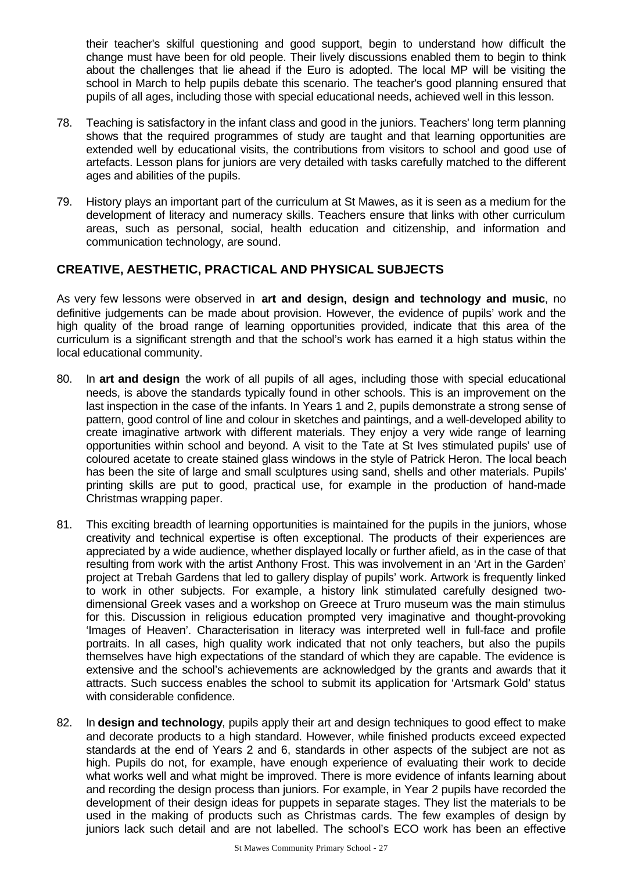their teacher's skilful questioning and good support, begin to understand how difficult the change must have been for old people. Their lively discussions enabled them to begin to think about the challenges that lie ahead if the Euro is adopted. The local MP will be visiting the school in March to help pupils debate this scenario. The teacher's good planning ensured that pupils of all ages, including those with special educational needs, achieved well in this lesson.

- 78. Teaching is satisfactory in the infant class and good in the juniors. Teachers' long term planning shows that the required programmes of study are taught and that learning opportunities are extended well by educational visits, the contributions from visitors to school and good use of artefacts. Lesson plans for juniors are very detailed with tasks carefully matched to the different ages and abilities of the pupils.
- 79. History plays an important part of the curriculum at St Mawes, as it is seen as a medium for the development of literacy and numeracy skills. Teachers ensure that links with other curriculum areas, such as personal, social, health education and citizenship, and information and communication technology, are sound.

# **CREATIVE, AESTHETIC, PRACTICAL AND PHYSICAL SUBJECTS**

As very few lessons were observed in **art and design, design and technology and music**, no definitive judgements can be made about provision. However, the evidence of pupils' work and the high quality of the broad range of learning opportunities provided, indicate that this area of the curriculum is a significant strength and that the school's work has earned it a high status within the local educational community.

- 80. In **art and design** the work of all pupils of all ages, including those with special educational needs, is above the standards typically found in other schools. This is an improvement on the last inspection in the case of the infants. In Years 1 and 2, pupils demonstrate a strong sense of pattern, good control of line and colour in sketches and paintings, and a well-developed ability to create imaginative artwork with different materials. They enjoy a very wide range of learning opportunities within school and beyond. A visit to the Tate at St Ives stimulated pupils' use of coloured acetate to create stained glass windows in the style of Patrick Heron. The local beach has been the site of large and small sculptures using sand, shells and other materials. Pupils' printing skills are put to good, practical use, for example in the production of hand-made Christmas wrapping paper.
- 81. This exciting breadth of learning opportunities is maintained for the pupils in the juniors, whose creativity and technical expertise is often exceptional. The products of their experiences are appreciated by a wide audience, whether displayed locally or further afield, as in the case of that resulting from work with the artist Anthony Frost. This was involvement in an 'Art in the Garden' project at Trebah Gardens that led to gallery display of pupils' work. Artwork is frequently linked to work in other subjects. For example, a history link stimulated carefully designed twodimensional Greek vases and a workshop on Greece at Truro museum was the main stimulus for this. Discussion in religious education prompted very imaginative and thought-provoking 'Images of Heaven'. Characterisation in literacy was interpreted well in full-face and profile portraits. In all cases, high quality work indicated that not only teachers, but also the pupils themselves have high expectations of the standard of which they are capable. The evidence is extensive and the school's achievements are acknowledged by the grants and awards that it attracts. Such success enables the school to submit its application for 'Artsmark Gold' status with considerable confidence.
- 82. In **design and technology**, pupils apply their art and design techniques to good effect to make and decorate products to a high standard. However, while finished products exceed expected standards at the end of Years 2 and 6, standards in other aspects of the subject are not as high. Pupils do not, for example, have enough experience of evaluating their work to decide what works well and what might be improved. There is more evidence of infants learning about and recording the design process than juniors. For example, in Year 2 pupils have recorded the development of their design ideas for puppets in separate stages. They list the materials to be used in the making of products such as Christmas cards. The few examples of design by juniors lack such detail and are not labelled. The school's ECO work has been an effective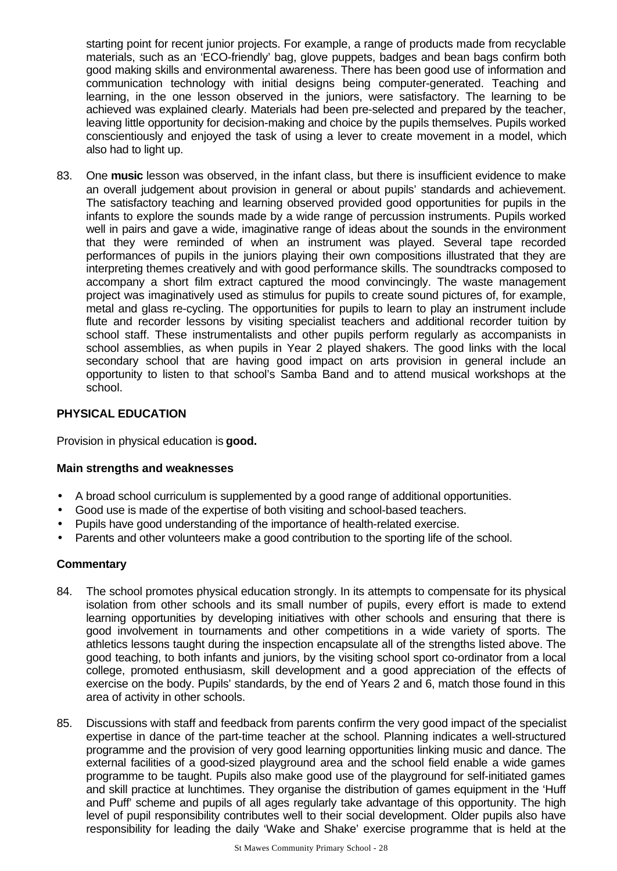starting point for recent junior projects. For example, a range of products made from recyclable materials, such as an 'ECO-friendly' bag, glove puppets, badges and bean bags confirm both good making skills and environmental awareness. There has been good use of information and communication technology with initial designs being computer-generated. Teaching and learning, in the one lesson observed in the juniors, were satisfactory. The learning to be achieved was explained clearly. Materials had been pre-selected and prepared by the teacher, leaving little opportunity for decision-making and choice by the pupils themselves. Pupils worked conscientiously and enjoyed the task of using a lever to create movement in a model, which also had to light up.

83. One **music** lesson was observed, in the infant class, but there is insufficient evidence to make an overall judgement about provision in general or about pupils' standards and achievement. The satisfactory teaching and learning observed provided good opportunities for pupils in the infants to explore the sounds made by a wide range of percussion instruments. Pupils worked well in pairs and gave a wide, imaginative range of ideas about the sounds in the environment that they were reminded of when an instrument was played. Several tape recorded performances of pupils in the juniors playing their own compositions illustrated that they are interpreting themes creatively and with good performance skills. The soundtracks composed to accompany a short film extract captured the mood convincingly. The waste management project was imaginatively used as stimulus for pupils to create sound pictures of, for example, metal and glass re-cycling. The opportunities for pupils to learn to play an instrument include flute and recorder lessons by visiting specialist teachers and additional recorder tuition by school staff. These instrumentalists and other pupils perform regularly as accompanists in school assemblies, as when pupils in Year 2 played shakers. The good links with the local secondary school that are having good impact on arts provision in general include an opportunity to listen to that school's Samba Band and to attend musical workshops at the school.

### **PHYSICAL EDUCATION**

Provision in physical education is **good.**

#### **Main strengths and weaknesses**

- A broad school curriculum is supplemented by a good range of additional opportunities.
- Good use is made of the expertise of both visiting and school-based teachers.
- Pupils have good understanding of the importance of health-related exercise.
- Parents and other volunteers make a good contribution to the sporting life of the school.

- 84. The school promotes physical education strongly. In its attempts to compensate for its physical isolation from other schools and its small number of pupils, every effort is made to extend learning opportunities by developing initiatives with other schools and ensuring that there is good involvement in tournaments and other competitions in a wide variety of sports. The athletics lessons taught during the inspection encapsulate all of the strengths listed above. The good teaching, to both infants and juniors, by the visiting school sport co-ordinator from a local college, promoted enthusiasm, skill development and a good appreciation of the effects of exercise on the body. Pupils' standards, by the end of Years 2 and 6, match those found in this area of activity in other schools.
- 85. Discussions with staff and feedback from parents confirm the very good impact of the specialist expertise in dance of the part-time teacher at the school. Planning indicates a well-structured programme and the provision of very good learning opportunities linking music and dance. The external facilities of a good-sized playground area and the school field enable a wide games programme to be taught. Pupils also make good use of the playground for self-initiated games and skill practice at lunchtimes. They organise the distribution of games equipment in the 'Huff and Puff' scheme and pupils of all ages regularly take advantage of this opportunity. The high level of pupil responsibility contributes well to their social development. Older pupils also have responsibility for leading the daily 'Wake and Shake' exercise programme that is held at the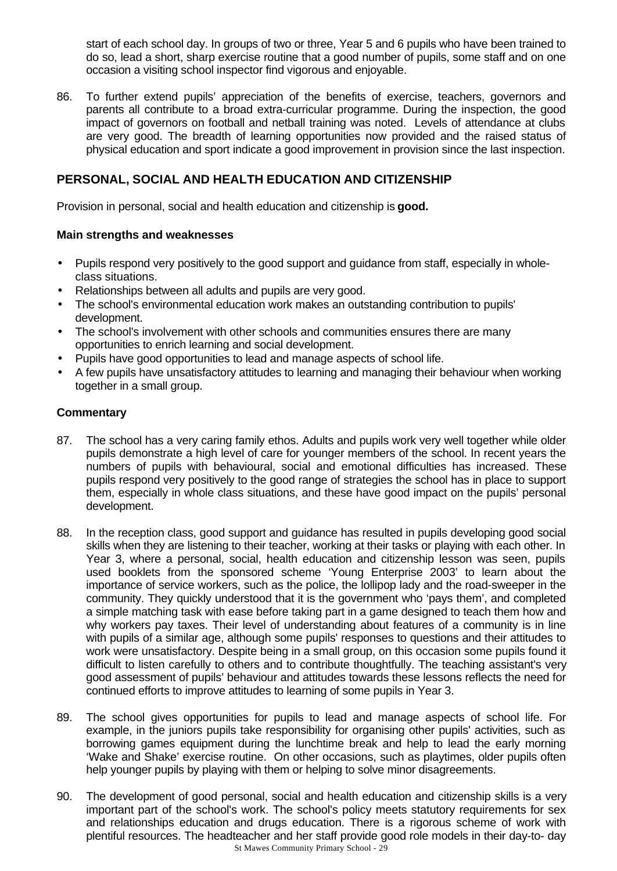start of each school day. In groups of two or three, Year 5 and 6 pupils who have been trained to do so, lead a short, sharp exercise routine that a good number of pupils, some staff and on one occasion a visiting school inspector find vigorous and enjoyable.

86. To further extend pupils' appreciation of the benefits of exercise, teachers, governors and parents all contribute to a broad extra-curricular programme. During the inspection, the good impact of governors on football and netball training was noted. Levels of attendance at clubs are very good. The breadth of learning opportunities now provided and the raised status of physical education and sport indicate a good improvement in provision since the last inspection.

# **PERSONAL, SOCIAL AND HEALTH EDUCATION AND CITIZENSHIP**

Provision in personal, social and health education and citizenship is **good.**

#### **Main strengths and weaknesses**

- Pupils respond very positively to the good support and guidance from staff, especially in wholeclass situations.
- Relationships between all adults and pupils are very good.
- The school's environmental education work makes an outstanding contribution to pupils' development.
- The school's involvement with other schools and communities ensures there are many opportunities to enrich learning and social development.
- Pupils have good opportunities to lead and manage aspects of school life.
- A few pupils have unsatisfactory attitudes to learning and managing their behaviour when working together in a small group.

- 87. The school has a very caring family ethos. Adults and pupils work very well together while older pupils demonstrate a high level of care for younger members of the school. In recent years the numbers of pupils with behavioural, social and emotional difficulties has increased. These pupils respond very positively to the good range of strategies the school has in place to support them, especially in whole class situations, and these have good impact on the pupils' personal development.
- 88. In the reception class, good support and guidance has resulted in pupils developing good social skills when they are listening to their teacher, working at their tasks or playing with each other. In Year 3, where a personal, social, health education and citizenship lesson was seen, pupils used booklets from the sponsored scheme 'Young Enterprise 2003' to learn about the importance of service workers, such as the police, the lollipop lady and the road-sweeper in the community. They quickly understood that it is the government who 'pays them', and completed a simple matching task with ease before taking part in a game designed to teach them how and why workers pay taxes. Their level of understanding about features of a community is in line with pupils of a similar age, although some pupils' responses to questions and their attitudes to work were unsatisfactory. Despite being in a small group, on this occasion some pupils found it difficult to listen carefully to others and to contribute thoughtfully. The teaching assistant's very good assessment of pupils' behaviour and attitudes towards these lessons reflects the need for continued efforts to improve attitudes to learning of some pupils in Year 3.
- 89. The school gives opportunities for pupils to lead and manage aspects of school life. For example, in the juniors pupils take responsibility for organising other pupils' activities, such as borrowing games equipment during the lunchtime break and help to lead the early morning 'Wake and Shake' exercise routine. On other occasions, such as playtimes, older pupils often help younger pupils by playing with them or helping to solve minor disagreements.
- St Mawes Community Primary School 29 90. The development of good personal, social and health education and citizenship skills is a very important part of the school's work. The school's policy meets statutory requirements for sex and relationships education and drugs education. There is a rigorous scheme of work with plentiful resources. The headteacher and her staff provide good role models in their day-to- day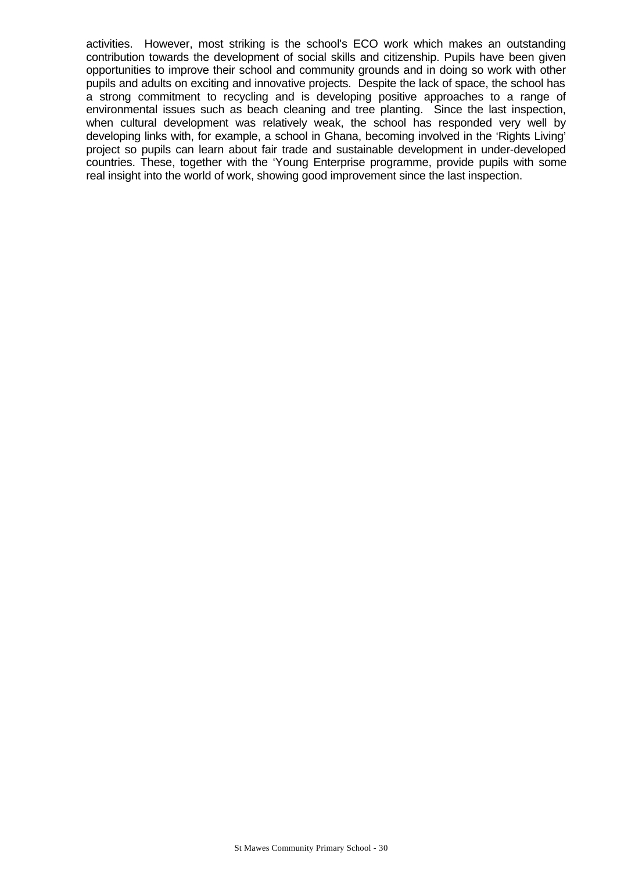activities. However, most striking is the school's ECO work which makes an outstanding contribution towards the development of social skills and citizenship. Pupils have been given opportunities to improve their school and community grounds and in doing so work with other pupils and adults on exciting and innovative projects. Despite the lack of space, the school has a strong commitment to recycling and is developing positive approaches to a range of environmental issues such as beach cleaning and tree planting. Since the last inspection, when cultural development was relatively weak, the school has responded very well by developing links with, for example, a school in Ghana, becoming involved in the 'Rights Living' project so pupils can learn about fair trade and sustainable development in under-developed countries. These, together with the 'Young Enterprise programme, provide pupils with some real insight into the world of work, showing good improvement since the last inspection.